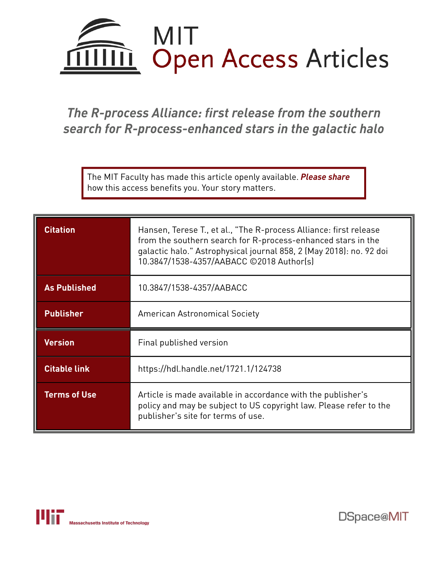

# *The R-process Alliance: first release from the southern search for R-process-enhanced stars in the galactic halo*

The MIT Faculty has made this article openly available. *[Please](https://libraries.mit.edu/forms/dspace-oa-articles.html) share* how this access benefits you. Your story matters.

| <b>Citation</b>     | Hansen, Terese T., et al., "The R-process Alliance: first release<br>from the southern search for R-process-enhanced stars in the<br>galactic halo." Astrophysical journal 858, 2 (May 2018): no. 92 doi<br>10.3847/1538-4357/AABACC ©2018 Author(s) |
|---------------------|------------------------------------------------------------------------------------------------------------------------------------------------------------------------------------------------------------------------------------------------------|
| <b>As Published</b> | 10.3847/1538-4357/AABACC                                                                                                                                                                                                                             |
| <b>Publisher</b>    | American Astronomical Society                                                                                                                                                                                                                        |
| <b>Version</b>      | Final published version                                                                                                                                                                                                                              |
| <b>Citable link</b> | https://hdl.handle.net/1721.1/124738                                                                                                                                                                                                                 |
| <b>Terms of Use</b> | Article is made available in accordance with the publisher's<br>policy and may be subject to US copyright law. Please refer to the<br>publisher's site for terms of use.                                                                             |



DSpace@MIT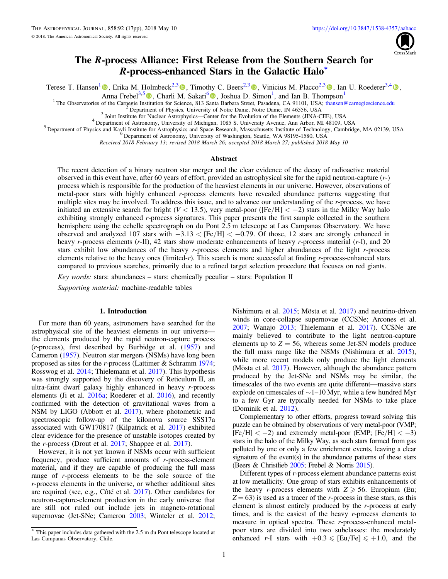

## The R-process Alliance: First Release from the Southern Search for R-process-enhanced Stars in the Galactic Halo\*

Terese T. Hansen<sup>[1](https://orcid.org/0000-0001-6154-8983)</sup>  $\Phi$ , Erika M. Holmbeck<sup>2,[3](https://orcid.org/0000-0003-4479-1265)</sup>  $\Phi$ [,](https://orcid.org/0000-0001-5107-8930) Timothy C. Beers<sup>2,3</sup>  $\Phi$ , Vinicius M. Placco<sup>2,3</sup>  $\Phi$ , Ian U. Roederer<sup>3,[4](https://orcid.org/0000-0001-5107-8930)</sup>  $\Phi$ ,

Anna Frebel<sup>3,[5](https://orcid.org/0000-0002-2139-7145)</sup><sup>(0</sup>[,](https://orcid.org/0000-0002-2139-7145) Charli M. Sakari<sup>[6](https://orcid.org/0000-0002-5095-4000)</sup><sup>(0</sup>, Joshua D. Simon<sup>1</sup>, and Ian B. Thompson<sup>1</sup>

<sup>1</sup> The Observatories of the Carnegie In[stit](https://orcid.org/0000-0002-2139-7145)ution for Science, 813 S[anta](https://orcid.org/0000-0002-5095-4000) Barbara Street, Pasadena, CA 91101, USA; [thansen@carnegiescience.edu](mailto:thansen@carnegiescience.edu)<br>
<sup>2</sup> Department of Physics, University of Notre Dame, Notre Dame, IN 46556, USA<br>

Received 2018 February 13; revised 2018 March 26; accepted 2018 March 27; published 2018 May 10

#### Abstract

The recent detection of a binary neutron star merger and the clear evidence of the decay of radioactive material observed in this event have, after 60 years of effort, provided an astrophysical site for the rapid neutron-capture (r-) process which is responsible for the production of the heaviest elements in our universe. However, observations of metal-poor stars with highly enhanced r-process elements have revealed abundance patterns suggesting that multiple sites may be involved. To address this issue, and to advance our understanding of the r-process, we have initiated an extensive search for bright ( $V < 13.5$ ), very metal-poor ([Fe/H]  $< -2$ ) stars in the Milky Way halo exhibiting strongly enhanced r-process signatures. This paper presents the first sample collected in the southern hemisphere using the echelle spectrograph on du Pont 2.5 m telescope at Las Campanas Observatory. We have observed and analyzed 107 stars with −3.13 < [Fe/H] < −0.79. Of those, 12 stars are strongly enhanced in heavy *r*-process elements (*r*-II), 42 stars show moderate enhancements of heavy *r*-process material (*r*-I), and 20 stars exhibit low abundances of the heavy r-process elements and higher abundances of the light r-process elements relative to the heavy ones (limited-r). This search is more successful at finding r-process-enhanced stars compared to previous searches, primarily due to a refined target selection procedure that focuses on red giants.

Key words: stars: abundances – stars: chemically peculiar – stars: Population II

Supporting material: machine-readable tables

#### 1. Introduction

For more than 60 years, astronomers have searched for the astrophysical site of the heaviest elements in our universe the elements produced by the rapid neutron-capture process (r-process), first described by Burbidge et al. ([1957](#page-16-0)) and Cameron ([1957](#page-16-0)). Neutron star mergers (NSMs) have long been proposed as sites for the r-process (Lattimer & Schramm [1974](#page-17-0); Rosswog et al. [2014;](#page-17-0) Thielemann et al. [2017](#page-17-0)). This hypothesis was strongly supported by the discovery of Reticulum II, an ultra-faint dwarf galaxy highly enhanced in heavy  $r$ -process elements (Ji et al. [2016a;](#page-17-0) Roederer et al. [2016](#page-17-0)), and recently confirmed with the detection of gravitational waves from a NSM by LIGO (Abbott et al. [2017](#page-16-0)), where photometric and spectroscopic follow-up of the kilonova source SSS17a associated with GW170817 (Kilpatrick et al. [2017](#page-17-0)) exhibited clear evidence for the presence of unstable isotopes created by the r-process (Drout et al. [2017;](#page-16-0) Shappee et al. [2017](#page-17-0)).

However, it is not yet known if NSMs occur with sufficient frequency, produce sufficient amounts of r-process-element material, and if they are capable of producing the full mass range of r-process elements to be the sole source of the r-process elements in the universe, or whether additional sites are required (see, e.g., Côté et al. [2017](#page-16-0)). Other candidates for neutron-capture-element production in the early universe that are still not ruled out include jets in magneto-rotational supernovae (Jet-SNe; Cameron [2003;](#page-16-0) Winteler et al. [2012](#page-17-0); Nishimura et al. [2015](#page-17-0); Mösta et al. [2017](#page-17-0)) and neutrino-driven winds in core-collapse supernovae (CCSNe; Arcones et al. [2007;](#page-16-0) Wanajo [2013](#page-17-0); Thielemann et al. [2017](#page-17-0)). CCSNe are mainly believed to contribute to the light neutron-capture elements up to  $Z = 56$ , whereas some Jet-SN models produce the full mass range like the NSMs (Nishimura et al. [2015](#page-17-0)), while more recent models only produce the light elements (Mösta et al. [2017](#page-17-0)). However, although the abundance pattern produced by the Jet-SNe and NSMs may be similar, the timescales of the two events are quite different—massive stars explode on timescales of ∼1–10 Myr, while a few hundred Myr to a few Gyr are typically needed for NSMs to take place (Dominik et al. [2012](#page-16-0)).

Complementary to other efforts, progress toward solving this puzzle can be obtained by observations of very metal-poor (VMP;  $[Fe/H] < -2$ ) and extremely metal-poor (EMP;  $[Fe/H] < -3$ ) stars in the halo of the Milky Way, as such stars formed from gas polluted by one or only a few enrichment events, leaving a clear signature of the event(s) in the abundance patterns of these stars (Beers & Christlieb [2005;](#page-16-0) Frebel & Norris [2015](#page-17-0)).

Different types of r-process element abundance patterns exist at low metallicity. One group of stars exhibits enhancements of the heavy r-process elements with  $Z \ge 56$ . Europium (Eu;  $Z = 63$ ) is used as a tracer of the *r*-process in these stars, as this element is almost entirely produced by the r-process at early times, and is the easiest of the heavy r-process elements to measure in optical spectra. These r-process-enhanced metalpoor stars are divided into two subclasses: the moderately enhanced r-I stars with  $+0.3 \leq |E_u/Fe| \leq +1.0$ , and the

This paper includes data gathered with the 2.5 m du Pont telescope located at Las Campanas Observatory, Chile.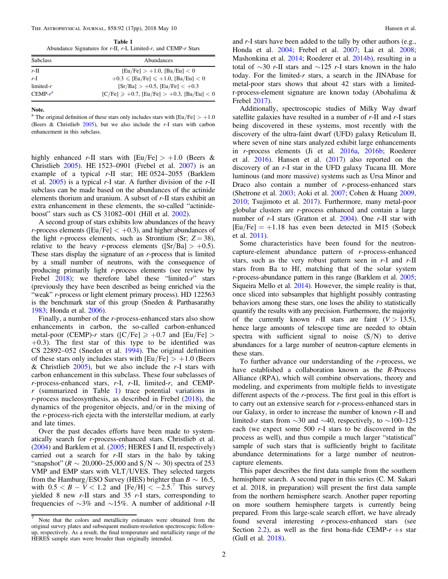<span id="page-2-0"></span>THE ASTROPHYSICAL JOURNAL, 858:92 (17pp), 2018 May 10 Hansen et al.

Table 1 Abundance Signatures for  $r$ -II,  $r$ -I, Limited- $r$ , and CEMP- $r$  Stars

| <b>Subclass</b> | Abundances                                                |
|-----------------|-----------------------------------------------------------|
| $r$ -II         | $[Eu/Fe] > +1.0$ , $[Ba/Eu] < 0$                          |
| $r-I$           | $+0.3 \leqslant$ [Eu/Fe] $\leqslant +1.0$ , [Ba/Eu] $< 0$ |
| $limited-r$     | $[Sr/Ba] > +0.5$ , $[Eu/Fe] < +0.3$                       |
| $CEMP-r^a$      | $[C/Fe] \ge +0.7$ , $[Eu/Fe] > +0.3$ , $[Ba/Eu] < 0$      |

Note.

<sup>a</sup> The original definition of these stars only includes stars with [Eu/Fe]  $> +1.0$ (Beers & Christlieb [2005](#page-16-0)), but we also include the r-I stars with carbon enhancement in this subclass.

highly enhanced r-II stars with  $|Eu/Fe| > +1.0$  (Beers & Christlieb [2005](#page-16-0)). HE 1523–0901 (Frebel et al. [2007](#page-17-0)) is an example of a typical r-II star; HE 0524–2055 (Barklem et al.  $2005$ ) is a typical r-I star. A further division of the r-II subclass can be made based on the abundances of the actinide elements thorium and uranium. A subset of r-II stars exhibit an extra enhancement in these elements, the so-called "actinideboost" stars such as CS 31082–001 (Hill et al. [2002](#page-17-0)).

A second group of stars exhibits low abundances of the heavy r-process elements ( $[Eu/Fe] < +0.3$ ), and higher abundances of the light r-process elements, such as Strontium (Sr;  $Z = 38$ ), relative to the heavy r-process elements ( $[Sr/Ba] > +0.5$ ). These stars display the signature of an r-process that is limited by a small number of neutrons, with the consequence of producing primarily light r-process elements (see review by Frebel [2018](#page-17-0)); we therefore label these "limited-r" stars (previously they have been described as being enriched via the "weak" *r*-process or light element primary process). HD 122563 is the benchmark star of this group (Sneden & Parthasarathy [1983](#page-17-0); Honda et al. [2006](#page-17-0)).

Finally, a number of the r-process-enhanced stars also show enhancements in carbon, the so-called carbon-enhanced metal-poor (CEMP)-r stars ([C/Fe]  $\geq$  +0.7 and [Eu/Fe]  $>$  $+0.3$ ). The first star of this type to be identified was CS 22892–052 (Sneden et al. [1994](#page-17-0)). The original definition of these stars only includes stars with  $\text{[Eu/Fe]} > +1.0$  (Beers & Christlieb  $2005$ , but we also include the r-I stars with carbon enhancement in this subclass. These four subclasses of  $r$ -process-enhanced stars,  $r$ -I,  $r$ -II, limited- $r$ , and CEMP $r$  (summarized in Table 1) trace potential variations in r-process nucleosynthesis, as described in Frebel ([2018](#page-17-0)), the dynamics of the progenitor objects, and/or in the mixing of the r-process-rich ejecta with the interstellar medium, at early and late times.

Over the past decades efforts have been made to systematically search for r-process-enhanced stars. Christlieb et al. ([2004](#page-16-0)) and Barklem et al. ([2005](#page-16-0); HERES I and II, respectively) carried out a search for  $r$ -II stars in the halo by taking "snapshot" ( $R \sim 20,000-25,000$  and  $S/N \sim 30$ ) spectra of 253 VMP and EMP stars with VLT/UVES. They selected targets from the Hamburg/ESO Survey (HES) brighter than  $B \sim 16.5$ , with  $0.5 < B - V < 1.2$  and  $[Fe/H] < -2.5$ . This survey yielded 8 new  $r$ -II stars and 35  $r$ -I stars, corresponding to frequencies of  $\sim$ 3% and  $\sim$ 15%. A number of additional r-II

and r-I stars have been added to the tally by other authors (e.g., Honda et al. [2004;](#page-17-0) Frebel et al. [2007;](#page-17-0) Lai et al. [2008](#page-17-0); Mashonkina et al. [2014](#page-17-0); Roederer et al. [2014b](#page-17-0)), resulting in a total of ∼30 r-II stars and ∼125 r-I stars known in the halo today. For the limited- $r$  stars, a search in the JINAbase for metal-poor stars shows that about 42 stars with a limitedr-process-element signature are known today (Abohalima & Frebel [2017](#page-16-0)).

Additionally, spectroscopic studies of Milky Way dwarf satellite galaxies have resulted in a number of  $r$ -II and  $r$ -I stars being discovered in these systems, most recently with the discovery of the ultra-faint dwarf (UFD) galaxy Reticulum II, where seven of nine stars analyzed exhibit large enhancements in r-process elements (Ji et al. [2016a](#page-17-0), [2016b](#page-17-0); Roederer et al. [2016](#page-17-0)). Hansen et al. ([2017](#page-17-0)) also reported on the discovery of an r-I star in the UFD galaxy Tucana III. More luminous (and more massive) systems such as Ursa Minor and Draco also contain a number of r-process-enhanced stars (Shetrone et al. [2003](#page-17-0); Aoki et al. [2007](#page-16-0); Cohen & Huang [2009](#page-16-0), [2010;](#page-16-0) Tsujimoto et al. [2017](#page-17-0)). Furthermore, many metal-poor globular clusters are r-process enhanced and contain a large number of  $r$ -I stars (Gratton et al.  $2004$ ). One  $r$ -II star with  $[Eu/Fe] = +1.18$  has even been detected in M15 (Sobeck et al. [2011](#page-17-0)).

Some characteristics have been found for the neutroncapture-element abundance pattern of r-process-enhanced stars, such as the very robust pattern seen in  $r-I$  and  $r-II$ stars from Ba to Hf, matching that of the solar system r-process-abundance pattern in this range (Barklem et al. [2005](#page-16-0); Siqueira Mello et al. [2014](#page-17-0)). However, the simple reality is that, once sliced into subsamples that highlight possibly contrasting behaviors among these stars, one loses the ability to statistically quantify the results with any precision. Furthermore, the majority of the currently known r-II stars are faint  $(V > 13.5)$ , hence large amounts of telescope time are needed to obtain spectra with sufficient signal to noise  $(S/N)$  to derive abundances for a large number of neutron-capture elements in these stars.

To further advance our understanding of the  $r$ -process, we have established a collaboration known as the R-Process Alliance (RPA), which will combine observations, theory and modeling, and experiments from multiple fields to investigate different aspects of the r-process. The first goal in this effort is to carry out an extensive search for r-process-enhanced stars in our Galaxy, in order to increase the number of known r-II and limited-r stars from  $\sim$ 30 and  $\sim$ 40, respectively, to  $\sim$ 100–125 each (we expect some 500 r-I stars to be discovered in the process as well), and thus compile a much larger "statistical" sample of such stars that is sufficiently bright to facilitate abundance determinations for a large number of neutroncapture elements.

This paper describes the first data sample from the southern hemisphere search. A second paper in this series (C. M. Sakari et al. 2018, in preparation) will present the first data sample from the northern hemisphere search. Another paper reporting on more southern hemisphere targets is currently being prepared. From this large-scale search effort, we have already found several interesting r-process-enhanced stars (see Section [2.2](#page-3-0)), as well as the first bona-fide CEMP- $r + s$  star (Gull et al. [2018](#page-17-0)).

<sup>7</sup> Note that the colors and metallicity estimates were obtained from the original survey plates and subsequent medium-resolution spectroscopic followup, respectively. As a result, the final temperature and metallicity range of the HERES sample stars were broader than originally intended.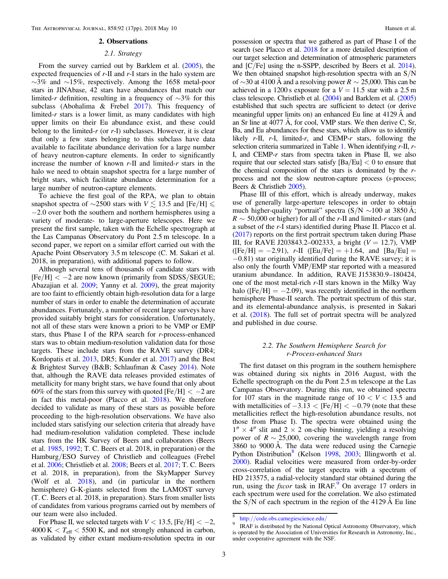#### 2. Observations

#### 2.1. Strategy

<span id="page-3-0"></span>From the survey carried out by Barklem et al. ([2005](#page-16-0)), the expected frequencies of r-II and r-I stars in the halo system are ∼3% and ∼15%, respectively. Among the 1658 metal-poor stars in JINAbase, 42 stars have abundances that match our limited-r definition, resulting in a frequency of  $\sim$ 3% for this subclass (Abohalima & Frebel [2017](#page-16-0)). This frequency of limited- $r$  stars is a lower limit, as many candidates with high upper limits on their Eu abundance exist, and these could belong to the limited-r (or  $r-I$ ) subclasses. However, it is clear that only a few stars belonging to this subclass have data available to facilitate abundance derivation for a large number of heavy neutron-capture elements. In order to significantly increase the number of known  $r$ -II and limited- $r$  stars in the halo we need to obtain snapshot spectra for a large number of bright stars, which facilitate abundance determination for a large number of neutron-capture elements.

To achieve the first goal of the RPA, we plan to obtain snapshot spectra of  $\sim$ 2500 stars with  $V \lesssim 13.5$  and [Fe/H]  $\leq$ −2.0 over both the southern and northern hemispheres using a variety of moderate- to large-aperture telescopes. Here we present the first sample, taken with the Echelle spectrograph at the Las Campanas Observatory du Pont 2.5 m telescope. In a second paper, we report on a similar effort carried out with the Apache Point Observatory 3.5 m telescope (C. M. Sakari et al. 2018, in preparation), with additional papers to follow.

Although several tens of thousands of candidate stars with  $[Fe/H] < -2$  are now known (primarily from SDSS/SEGUE; Abazajian et al. [2009;](#page-16-0) Yanny et al. [2009](#page-17-0)), the great majority are too faint to efficiently obtain high-resolution data for a large number of stars in order to enable the determination of accurate abundances. Fortunately, a number of recent large surveys have provided suitably bright stars for consideration. Unfortunately, not all of these stars were known a priori to be VMP or EMP stars, thus Phase I of the RPA search for r-process-enhanced stars was to obtain medium-resolution validation data for those targets. These include stars from the RAVE survey (DR4; Kordopatis et al. [2013](#page-17-0), DR5; Kunder et al. [2017](#page-17-0)) and the Best & Brightest Survey (B&B; Schlaufman & Casey [2014](#page-17-0)). Note that, although the RAVE data releases provided estimates of metallicity for many bright stars, we have found that only about 60% of the stars from this survey with quoted  $[Fe/H] < -2$  are in fact this metal-poor (Placco et al. [2018](#page-17-0)). We therefore decided to validate as many of these stars as possible before proceeding to the high-resolution observations. We have also included stars satisfying our selection criteria that already have had medium-resolution validation completed. These include stars from the HK Survey of Beers and collaborators (Beers et al. [1985,](#page-16-0) [1992;](#page-16-0) T. C. Beers et al. 2018, in preparation) or the Hamburg/ESO Survey of Christlieb and colleagues (Frebel et al. [2006](#page-17-0); Christlieb et al. [2008](#page-16-0); Beers et al. [2017;](#page-16-0) T. C. Beers et al. 2018, in preparation), from the SkyMapper Survey (Wolf et al. [2018](#page-17-0)), and (in particular in the northern hemisphere) G-K-giants selected from the LAMOST survey (T. C. Beers et al. 2018, in preparation). Stars from smaller lists of candidates from various programs carried out by members of our team were also included.

For Phase II, we selected targets with  $V < 13.5$ , [Fe/H]  $< -2$ ,  $4000 \text{ K} < T_{\text{eff}} < 5500 \text{ K}$ , and not strongly enhanced in carbon, as validated by either extant medium-resolution spectra in our possession or spectra that we gathered as part of Phase I of the search (see Placco et al. [2018](#page-17-0) for a more detailed description of our target selection and determination of atmospheric parameters and [C/Fe] using the n-SSPP, described by Beers et al. [2014](#page-16-0)). We then obtained snapshot high-resolution spectra with an  $S/N$ of ∼30 at 4100 Å and a resolving power  $R \sim 25,000$ . This can be achieved in a 1200 s exposure for a  $V = 11.5$  star with a 2.5 m class telescope. Christlieb et al. ([2004](#page-16-0)) and Barklem et al. ([2005](#page-16-0)) established that such spectra are sufficient to detect (or derive meaningful upper limits on) an enhanced Eu line at 4129 Å and an Sr line at 4077 Å, for cool, VMP stars. We then derive C, Sr, Ba, and Eu abundances for these stars, which allow us to identify likely  $r$ -II,  $r$ -I, limited-r, and CEMP-r stars, following the selection criteria summarized in Table [1](#page-2-0). When identifying r-II, r-I, and CEMP-r stars from spectra taken in Phase II, we also require that our selected stars satisfy  $|Ba/Eu| < 0$  to ensure that the chemical composition of the stars is dominated by the rprocess and not the slow neutron-capture process (s-process; Beers & Christlieb [2005](#page-16-0)).

Phase III of this effort, which is already underway, makes use of generally large-aperture telescopes in order to obtain much higher-quality "portrait" spectra (S/N  $\sim$ 100 at 3850 Å;  $R \sim 50,000$  or higher) for all of the r-II and limited-r stars (and a subset of the r-I stars) identified during Phase II. Placco et al. ([2017](#page-17-0)) reports on the first portrait spectrum taken during Phase III, for RAVE J203843.2–002333, a bright ( $V = 12.7$ ), VMP  $(Fe/H] = -2.91$ , r-II  $(Fe/H] = +1.64$ , and  $[Ba/Eu] =$ −0.81) star originally identified during the RAVE survey; it is also only the fourth VMP/EMP star reported with a measured uranium abundance. In addition, RAVE J153830.9–180424, one of the most metal-rich r-II stars known in the Milky Way halo ( $[Fe/H] = -2.09$ ), was recently identified in the northern hemisphere Phase-II search. The portrait spectrum of this star, and its elemental-abundance analysis, is presented in Sakari et al. ([2018](#page-17-0)). The full set of portrait spectra will be analyzed and published in due course.

#### 2.2. The Southern Hemisphere Search for r-Process-enhanced Stars

The first dataset on this program in the southern hemisphere was obtained during six nights in 2016 August, with the Echelle spectrograph on the du Pont 2.5 m telescope at the Las Campanas Observatory. During this run, we obtained spectra for 107 stars in the magnitude range of  $10 < V < 13.5$  and with metallicities of  $-3.13 <$  [Fe/H]  $< -0.79$  (note that these metallicities reflect the high-resolution abundance results, not those from Phase I). The spectra were obtained using the  $1'' \times 4''$  slit and  $2 \times 2$  on-chip binning, yielding a resolving power of  $R \sim 25,000$ , covering the wavelength range from 3860 to 9000 Å. The data were reduced using the Carnegie Python Distribution<sup>8</sup> (Kelson [1998](#page-17-0), [2003;](#page-17-0) Illingworth et al. [2000](#page-17-0)). Radial velocities were measured from order-by-order cross-correlation of the target spectra with a spectrum of HD 213575, a radial-velocity standard star obtained during the run, using the *fxcor* task in IRAF.<sup>9</sup> On average 17 orders in each spectrum were used for the correlation. We also estimated the  $S/N$  of each spectrum in the region of the 4129 Å Eu line

<sup>&</sup>lt;sup>8</sup> http://[code.obs.carnegiescience.edu](http://code.obs.carnegiescience.edu/)/<br><sup>9</sup> IRAF is distributed by the National Optical Astronomy Observatory, which is operated by the Association of Universities for Research in Astronomy, Inc., under cooperative agreement with the NSF.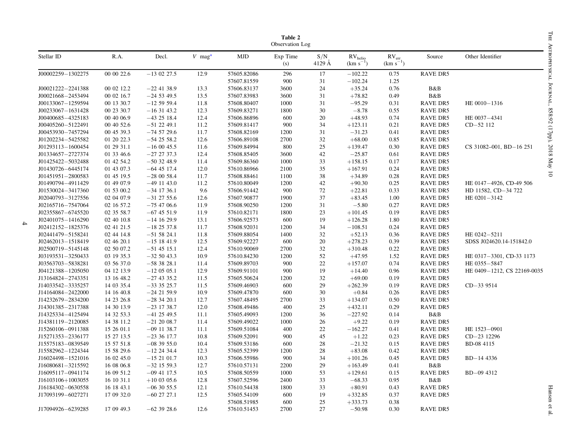<span id="page-4-0"></span>

| Table 2<br>Observation Log |            |               |                      |             |                 |               |                                      |                                             |                 |                             |
|----------------------------|------------|---------------|----------------------|-------------|-----------------|---------------|--------------------------------------|---------------------------------------------|-----------------|-----------------------------|
| Stellar ID                 | R.A.       | Decl.         | $V$ mag <sup>a</sup> | <b>MJD</b>  | Exp Time<br>(s) | S/N<br>4129 Å | RV <sub>helio</sub><br>$(km s^{-1})$ | $\mathrm{RV}_\mathrm{err}$<br>$(km s^{-1})$ | Source          | Other Identifier            |
| J00002259-1302275          | 00 00 22.6 | $-130227.5$   | 12.9                 | 57605.82086 | 296             | 17            | $-102.22$                            | 0.75                                        | <b>RAVE DR5</b> |                             |
|                            |            |               |                      | 57607.81559 | 900             | 31            | $-102.24$                            | 1.25                                        |                 |                             |
| J00021222-2241388          | 00 02 12.2 | $-22$ 41 38.9 | 13.3                 | 57606.83137 | 3600            | 24            | $+35.24$                             | 0.76                                        | B&B             |                             |
| J00021668-2453494          | 00 02 16.7 | $-24$ 53 49.5 | 13.5                 | 57607.83983 | 3600            | 31            | $+78.82$                             | 0.49                                        | B&B             |                             |
| J00133067-1259594          | 00 13 30.7 | $-125959.4$   | 11.8                 | 57608.80407 | 1000            | 31            | $-95.29$                             | 0.31                                        | <b>RAVE DR5</b> | HE 0010-1316                |
| J00233067-1631428          | 00 23 30.7 | $-163143.2$   | 12.3                 | 57609.83271 | 1800            | 30            | $-8.78$                              | 0.55                                        | <b>RAVE DR5</b> |                             |
| J00400685-4325183          | 00 40 06.9 | $-43$ 25 18.4 | 12.4                 | 57606.86896 | 600             | 20            | $+48.93$                             | 0.74                                        | <b>RAVE DR5</b> | HE 0037-4341                |
| J00405260-5122491          | 00 40 52.6 | $-51$ 22 49.1 | 11.2                 | 57609.81417 | 900             | 34            | $+123.11$                            | 0.21                                        | <b>RAVE DR5</b> | CD-52 112                   |
| J00453930-7457294          | 00 45 39.3 | $-74$ 57 29.6 | 11.7                 | 57608.82169 | 1200            | 31            | $-31.23$                             | 0.41                                        | <b>RAVE DR5</b> |                             |
| J01202234-5425582          | 01 20 22.3 | $-542558.2$   | 12.6                 | 57606.89108 | 2700            | 32            | $+68.00$                             | 0.85                                        | <b>RAVE DR5</b> |                             |
| J01293113-1600454          | 01 29 31.1 | $-160045.5$   | 11.6                 | 57609.84994 | 800             | 25            | $+139.47$                            | 0.30                                        | <b>RAVE DR5</b> | CS 31082-001, BD-16 251     |
| J01334657-2727374          | 01 33 46.6 | $-27$ 27 37.3 | 12.4                 | 57608.85405 | 3600            | 42            | $-25.87$                             | 0.61                                        | <b>RAVE DR5</b> |                             |
| J01425422-5032488          | 01 42 54.2 | $-503248.9$   | 11.4                 | 57609.86360 | 1000            | 33            | $+158.15$                            | 0.17                                        | <b>RAVE DR5</b> |                             |
| J01430726-6445174          | 01 43 07.3 | $-64$ 45 17.4 | 12.0                 | 57610.86966 | 2100            | 35            | $+167.91$                            | 0.24                                        | <b>RAVE DR5</b> |                             |
| J01451951-2800583          | 01 45 19.5 | $-280058.4$   | 11.7                 | 57608.88461 | 1100            | 38            | $+34.89$                             | 0.28                                        | RAVE DR5        |                             |
| J01490794-4911429          | 01 49 07.9 | $-49$ 11 43.0 | 11.2                 | 57610.80049 | 1200            | 42            | $+90.30$                             | 0.25                                        | RAVE DR5        | HE 0147-4926, CD-49 506     |
| J01530024-3417360          | 01 53 00.2 | $-34$ 17 36.1 | 9.6                  | 57606.91442 | 900             | 72            | $+22.81$                             | 0.33                                        | <b>RAVE DR5</b> | HD 11582, CD-34 722         |
| J02040793-3127556          | 02 04 07.9 | $-31$ 27 55.6 | 12.6                 | 57607.90877 | 1900            | 37            | $+83.45$                             | 1.00                                        | <b>RAVE DR5</b> | HE 0201-3142                |
| J02165716-7547064          | 02 16 57.2 | $-75$ 47 06.6 | 11.9                 | 57608.90250 | 1200            | 31            | $-5.80$                              | 0.27                                        | <b>RAVE DR5</b> |                             |
| J02355867-6745520          | 02 35 58.7 | $-67$ 45 51.9 | 11.9                 | 57610.82171 | 1800            | 23            | $+101.45$                            | 0.19                                        | <b>RAVE DR5</b> |                             |
| J02401075-1416290          | 02 40 10.8 | $-14$ 16 29.9 | 13.1                 | 57606.92573 | 600             | 19            | $+126.28$                            | 1.80                                        | <b>RAVE DR5</b> |                             |
| J02412152-1825376          | 02 41 21.5 | $-182537.8$   | 11.7                 | 57608.92031 | 1200            | 34            | $-108.51$                            | 0.24                                        | RAVE DR5        |                             |
| J02441479-5158241          | 02 44 14.8 | $-515824.1$   | 11.8                 | 57609.88054 | 1400            | 32            | $+52.13$                             | 0.36                                        | RAVE DR5        | HE 0242-5211                |
| J02462013-1518419          | 02 46 20.1 | $-15$ 18 41.9 | 12.5                 | 57609.92227 | 600             | 20            | $+278.23$                            | 0.39                                        | <b>RAVE DR5</b> | SDSS J024620.14-151842.0    |
| J02500719-5145148          | 02 50 07.2 | $-51$ 45 15.1 | 12.4                 | 57610.90069 | 2700            | 32            | $+310.48$                            | 0.22                                        | <b>RAVE DR5</b> |                             |
| J03193531-3250433          | 03 19 35.3 | $-325043.3$   | 10.9                 | 57610.84230 | 1200            | 52            | $+47.95$                             | 1.52                                        | <b>RAVE DR5</b> | HE 0317-3301, CD-33 1173    |
| J03563703-5838281          | 03 56 37.0 | $-583828.1$   | 11.4                 | 57609.89703 | 900             | 22            | $+157.07$                            | 0.74                                        | RAVE DR5        | HE 0355-5847                |
| J04121388-1205050          | 04 12 13.9 | $-120505.1$   | 12.9                 | 57609.91101 | 900             | 19            | $+14.40$                             | 0.96                                        | RAVE DR5        | HE 0409-1212, CS 22169-0035 |
| J13164824-2743351          | 13 16 48.2 | $-27$ 43 35.2 | 11.5                 | 57605.50624 | 1200            | 32            | $+69.00$                             | 0.19                                        | <b>RAVE DR5</b> |                             |
| J14033542-3335257          | 14 03 35.4 | $-33$ 35 25.7 | 11.5                 | 57609.46903 | 600             | 29            | $+262.39$                            | 0.19                                        | RAVE DR5        | $CD-339514$                 |
| J14164084-2422000          | 14 16 40.8 | $-24$ 21 59.9 | 10.9                 | 57609.47870 | 600             | 30            | $+0.84$                              | 0.26                                        | <b>RAVE DR5</b> |                             |
| J14232679-2834200          | 14 23 26.8 | $-283420.1$   | 12.7                 | 57607.48495 | 2700            | 33            | $+134.07$                            | 0.50                                        | <b>RAVE DR5</b> |                             |
| J14301385-2317388          | 14 30 13.9 | $-23$ 17 38.7 | 12.0                 | 57608.49486 | 400             | 25            | $+432.11$                            | 0.29                                        | <b>RAVE DR5</b> |                             |
| J14325334-4125494          | 14 32 53.3 | $-41$ 25 49.5 | 11.1                 | 57605.49093 | 1200            | 36            | $-227.92$                            | 0.14                                        | B&B             |                             |
| J14381119-2120085          | 14 38 11.2 | $-21$ 20 08.7 | 11.4                 | 57609.49022 | 1000            | 26            | $+9.22$                              | 0.19                                        | <b>RAVE DR5</b> |                             |
| J15260106-0911388          | 15 26 01.1 | $-09$ 11 38.7 | 11.1                 | 57609.51084 | 400             | 22            | $-162.27$                            | 0.41                                        | RAVE DR5        | HE 1523-0901                |
| J15271353-2336177          | 15 27 13.5 | $-233617.7$   | 10.8                 | 57609.52091 | 900             | 45            | $+1.22$                              | 0.23                                        | <b>RAVE DR5</b> | CD-23 12296                 |
| J15575183-0839549          | 15 57 51.8 | $-08$ 39 55.0 | 10.4                 | 57609.53186 | 600             | 28            | $-21.32$                             | 0.15                                        | <b>RAVE DR5</b> | BD-08 4115                  |
| J15582962-1224344          | 15 58 29.6 | $-12$ 24 34.4 | 12.3                 | 57605.52399 | 1200            | 28            | $+83.08$                             | 0.42                                        | <b>RAVE DR5</b> |                             |
| J16024498-1521016          | 16 02 45.0 | $-152101.7$   | 10.3                 | 57606.55986 | 900             | 34            | $+101.26$                            | 0.45                                        | <b>RAVE DR5</b> | BD-14 4336                  |
| J16080681-3215592          | 16 08 06.8 | $-32$ 15 59.3 | 12.7                 | 57610.57131 | 2200            | 29            | $+163.49$                            | 0.41                                        | B&B             |                             |
| J16095117-0941174          | 16 09 51.2 | $-09$ 41 17.5 | 10.5                 | 57608.50559 | 1000            | 53            | $+129.61$                            | 0.15                                        | <b>RAVE DR5</b> | BD-09 4312                  |
| J16103106+1003055          | 16 10 31.1 | $+100305.6$   | 12.8                 | 57607.52596 | 2400            | 33            | $-68.33$                             | 0.95                                        | B&B             |                             |
| J16184302-0630558          | 16 18 43.1 | $-06$ 30 55.5 | 12.1                 | 57610.54438 | 1800            | 33            | $+80.91$                             | 0.43                                        | <b>RAVE DR5</b> |                             |
| J17093199-6027271          | 17 09 32.0 | $-60$ 27 27.1 | 12.5                 | 57605.54109 | 600             | 19            | $+332.85$                            | 0.37                                        | <b>RAVE DR5</b> |                             |
|                            |            |               |                      | 57608.51985 | 600             | 25            | $+333.73$                            | 0.38                                        |                 |                             |
| J17094926-6239285          | 17 09 49.3 | $-62$ 39 28.6 | 12.6                 | 57610.51453 | 2700            | 27            | $-50.98$                             | 0.30                                        | <b>RAVE DR5</b> |                             |
|                            |            |               |                      |             |                 |               |                                      |                                             |                 |                             |

4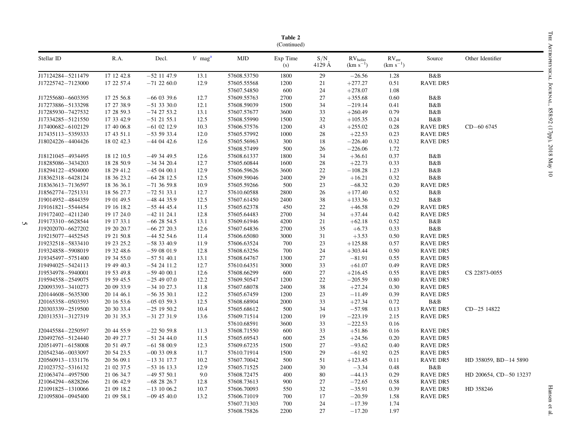|                   |            |               |                      |             | Table 2<br>(Continued) |               |                                    |                                |                 |                        |
|-------------------|------------|---------------|----------------------|-------------|------------------------|---------------|------------------------------------|--------------------------------|-----------------|------------------------|
| Stellar ID        | R.A.       | Decl.         | $V$ mag <sup>a</sup> | <b>MJD</b>  | Exp Time<br>(s)        | S/N<br>4129 Å | $\rm RV_{helio}$ (km $\rm s^{-1})$ | $\rm RV_{err} \rm (km~s^{-1})$ | Source          | Other Identifier       |
| J17124284-5211479 | 17 12 42.8 | $-52$ 11 47.9 | 13.1                 | 57608.53750 | 1800                   | 29            | $-26.56$                           | 1.28                           | B&B             |                        |
| J17225742-7123000 | 17 22 57.4 | $-71$ 22 60.0 | 12.9                 | 57605.55568 | 1200                   | 21            | $+277.27$                          | 0.51                           | <b>RAVE DR5</b> |                        |
|                   |            |               |                      | 57607.54850 | 600                    | 24            | $+278.07$                          | 1.08                           |                 |                        |
| J17255680-6603395 | 17 25 56.8 | $-66$ 03 39.6 | 12.7                 | 57609.55763 | 2700                   | 27            | $+355.68$                          | 0.60                           | B&B             |                        |
| J17273886-5133298 | 17 27 38.9 | $-51$ 33 30.0 | 12.1                 | 57608.59039 | 1500                   | 34            | $-219.14$                          | 0.41                           | B&B             |                        |
| J17285930-7427532 | 17 28 59.3 | $-74$ 27 53.2 | 13.1                 | 57607.57677 | 3600                   | 33            | $+260.49$                          | 0.79                           | B&B             |                        |
| J17334285-5121550 | 17 33 42.9 | $-51$ 21 55.1 | 12.5                 | 57608.55990 | 1500                   | 32            | $+105.35$                          | 0.24                           | B&B             |                        |
| J17400682-6102129 | 17 40 06.8 | $-61$ 02 12.9 | 10.3                 | 57606.57576 | 1200                   | 43            | $+255.02$                          | 0.28                           | <b>RAVE DR5</b> | $CD - 606745$          |
| J17435113-5359333 | 17 43 51.1 | $-535933.4$   | 12.0                 | 57605.57992 | 1000                   | $28\,$        | $+22.53$                           | 0.23                           | <b>RAVE DR5</b> |                        |
| J18024226-4404426 | 18 02 42.3 | $-44$ 04 42.6 | 12.6                 | 57605.56963 | 300                    | 18            | $-226.40$                          | 0.32                           | <b>RAVE DR5</b> |                        |
|                   |            |               |                      | 57608.57499 | 500                    | 26            | $-226.06$                          | 1.72                           |                 |                        |
| J18121045-4934495 | 18 12 10.5 | $-49$ 34 49.5 | 12.6                 | 57608.61337 | 1800                   | 34            | $+36.61$                           | 0.37                           | B&B             |                        |
| J18285086-3434203 | 18 28 50.9 | $-34$ 34 20.4 | 12.7                 | 57605.60844 | 1600                   | 28            | $+22.73$                           | 0.33                           | B&B             |                        |
| J18294122-4504000 | 18 29 41.2 | $-450400.1$   | 12.9                 | 57606.59626 | 3600                   | $22\,$        | $-108.28$                          | 1.23                           | B&B             |                        |
| J18362318-6428124 | 18 36 23.2 | $-642812.5$   | 12.5                 | 57609.59046 | 2400                   | 29            | $+16.21$                           | 0.32                           | B&B             |                        |
| J18363613-7136597 | 18 36 36.1 | $-71$ 36 59.8 | 10.9                 | 57605.59266 | 500                    | 23            | $-68.32$                           | 0.20                           | <b>RAVE DR5</b> |                        |
| J18562774-7251331 | 18 56 27.7 | $-725133.1$   | 12.7                 | 57610.60588 | 2800                   | 26            | $+177.40$                          | 0.52                           | B&B             |                        |
| J19014952-4844359 | 19 01 49.5 | $-48$ 44 35.9 | 12.5                 | 57607.61450 | 2400                   | 38            | $+133.36$                          | 0.32                           | B&B             |                        |
| J19161821-5544454 | 19 16 18.2 | $-55$ 44 45.4 | 11.5                 | 57605.62378 | 450                    | 22            | $+46.58$                           | 0.29                           | <b>RAVE DR5</b> |                        |
| J19172402-4211240 | 19 17 24.0 | $-42$ 11 24.1 | 12.8                 | 57605.64483 | 2700                   | 34            | $+37.44$                           | 0.42                           | <b>RAVE DR5</b> |                        |
| J19173310-6628544 | 19 17 33.1 | $-66$ 28 54.5 | 13.1                 | 57609.61946 | 4200                   | 21            | $+62.18$                           | 0.52                           | B&B             |                        |
| J19202070-6627202 | 19 20 20.7 | $-66$ 27 20.3 | 12.6                 | 57607.64836 | 2700                   | 35            | $+6.73$                            | 0.33                           | B&B             |                        |
| J19215077-4452545 | 19 21 50.8 | $-44$ 52 54.6 | 11.4                 | 57606.65080 | 3000                   | 31            | $+3.53$                            | 0.50                           | <b>RAVE DR5</b> |                        |
| J19232518-5833410 | 19 23 25.2 | $-583340.9$   | 11.9                 | 57606.63524 | 700                    | 23            | $+125.88$                          | 0.57                           | <b>RAVE DR5</b> |                        |
| J19324858-5908019 | 19 32 48.6 | $-590801.9$   | 12.8                 | 57608.63256 | 700                    | 24            | $+303.44$                          | 0.50                           | <b>RAVE DR5</b> |                        |
| J19345497-5751400 | 19 34 55.0 | $-575140.1$   | 13.1                 | 57608.64767 | 1300                   | 27            | $-81.91$                           | 0.55                           | <b>RAVE DR5</b> |                        |
| J19494025-5424113 | 19 49 40.3 | $-54$ 24 11.2 | 12.7                 | 57610.64351 | 3000                   | 33            | $+61.07$                           | 0.49                           | <b>RAVE DR5</b> |                        |
| J19534978-5940001 | 19 53 49.8 | $-59$ 40 00.1 | 12.6                 | 57608.66299 | 600                    | 27            | $+216.45$                          | 0.55                           | <b>RAVE DR5</b> | CS 22873-0055          |
| J19594558-2549075 | 19 59 45.5 | $-254907.0$   | 12.2                 | 57609.50547 | 1200                   | $22\,$        | $-205.59$                          | 0.80                           | <b>RAVE DR5</b> |                        |
| J20093393-3410273 | 20 09 33.9 | $-34$ 10 27.3 | 11.8                 | 57607.68078 | 2400                   | $38\,$        | $+27.24$                           | 0.30                           | <b>RAVE DR5</b> |                        |
| J20144608-5635300 | 20 14 46.1 | $-56$ 35 30.1 | 12.2                 | 57605.67459 | 1200                   | 23            | $-11.49$                           | 0.39                           | <b>RAVE DR5</b> |                        |
| J20165358-0503593 | 20 16 53.6 | $-050359.3$   | 12.5                 | 57608.68904 | 2000                   | 33            | $+27.34$                           | 0.72                           | $B\&B$          |                        |
| J20303339-2519500 | 20 30 33.4 | $-25$ 19 50.2 | 10.4                 | 57605.68612 | 500                    | 34            | $-57.98$                           | 0.13                           | <b>RAVE DR5</b> | CD-25 14822            |
| J20313531-3127319 | 20 31 35.3 | $-31$ 27 31.9 | 13.6                 | 57609.71514 | 1200                   | 19            | $-223.19$                          | 2.15                           | <b>RAVE DR5</b> |                        |
|                   |            |               |                      | 57610.68591 | 3600                   | 33            | $-222.53$                          | 0.16                           |                 |                        |
| J20445584-2250597 | 20 44 55.9 | $-225059.8$   | 11.3                 | 57608.71550 | 600                    | 33            | $+51.86$                           | 0.16                           | <b>RAVE DR5</b> |                        |
| J20492765-5124440 | 20 49 27.7 | $-51$ 24 44.0 | 11.5                 | 57605.69543 | 600                    | 25            | $+24.56$                           | 0.20                           | <b>RAVE DR5</b> |                        |
| J20514971-6158008 | 20 51 49.7 | $-615800.9$   | 12.3                 | 57609.67235 | 1500                   | 27            | $-93.62$                           | 0.40                           | <b>RAVE DR5</b> |                        |
| J20542346-0033097 | 20 54 23.5 | $-00$ 33 09.8 | 11.7                 | 57610.71914 | 1500                   | 29            | $-61.92$                           | 0.25                           | <b>RAVE DR5</b> |                        |
| J20560913-1331176 | 20 56 09.1 | $-133117.7$   | 10.2                 | 57607.70042 | 500                    | 51            | $+123.45$                          | 0.11                           | <b>RAVE DR5</b> | HD 358059, BD-14 5890  |
| J21023752-5316132 | 21 02 37.5 | $-53$ 16 13.3 | 12.9                 | 57605.71525 | 2400                   | 30            | $-3.34$                            | 0.48                           | B&B             |                        |
| J21063474-4957500 | 21 06 34.7 | $-495750.1$   | 9.0                  | 57608.72475 | 400                    | 80            | $-44.13$                           | 0.29                           | <b>RAVE DR5</b> | HD 200654, CD-50 13237 |
| J21064294-6828266 | 21 06 42.9 | $-682826.7$   | 12.8                 | 57608.73613 | 900                    | 27            | $-72.65$                           | 0.58                           | <b>RAVE DR5</b> |                        |
| J21091825-1310066 | 21 09 18.2 | $-13$ 10 06.2 | 10.7                 | 57606.70093 | 550                    | 32            | $-35.91$                           | 0.39                           | <b>RAVE DR5</b> | HD 358246              |
| J21095804-0945400 | 21 09 58.1 | $-09$ 45 40.0 | 13.2                 | 57606.71019 | 700                    | 17            | $-20.59$                           | 1.58                           | <b>RAVE DR5</b> |                        |
|                   |            |               |                      | 57607.71303 | 700                    | 24            | $-17.39$                           | 1.74                           |                 |                        |
|                   |            |               |                      | 57608.75826 | 2200                   | 27            | $-17.20$                           | 1.97                           |                 |                        |

 $\mathcal{L}$ 

Hansen et al.  $\,$ Hansen et al.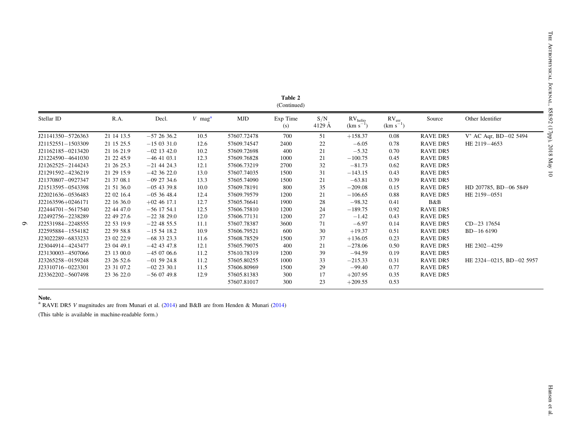|                   |            |               |                      |             | Table 2<br>(Continued) |               |                               |                             |                 |                             |
|-------------------|------------|---------------|----------------------|-------------|------------------------|---------------|-------------------------------|-----------------------------|-----------------|-----------------------------|
| Stellar ID        | R.A.       | Decl.         | $V$ mag <sup>a</sup> | MJD         | Exp Time<br>(s)        | S/N<br>4129 A | $RV_{helio}$<br>$(km s^{-1})$ | $RV_{err}$<br>$(km s^{-1})$ | Source          | Other Identifier            |
| J21141350-5726363 | 21 14 13.5 | $-572636.2$   | 10.5                 | 57607.72478 | 700                    | 51            | $+158.37$                     | 0.08                        | RAVE DR5        | $V^*$ AC Aqr, BD $-02$ 5494 |
| J21152551-1503309 | 21 15 25.5 | $-150331.0$   | 12.6                 | 57609.74547 | 2400                   | 22            | $-6.05$                       | 0.78                        | RAVE DR5        | HE 2119-4653                |
| J21162185-0213420 | 21 16 21.9 | $-02$ 13 42.0 | 10.2                 | 57609.72698 | 400                    | 21            | $-5.32$                       | 0.70                        | RAVE DR5        |                             |
| J21224590-4641030 | 21 22 45.9 | $-46$ 41 03.1 | 12.3                 | 57609.76828 | 1000                   | 21            | $-100.75$                     | 0.45                        | RAVE DR5        |                             |
| J21262525-2144243 | 21 26 25.3 | $-21$ 44 24.3 | 12.1                 | 57606.73219 | 2700                   | 32            | $-81.73$                      | 0.62                        | <b>RAVE DR5</b> |                             |
| J21291592-4236219 | 21 29 15.9 | $-42,36,22.0$ | 13.0                 | 57607.74035 | 1500                   | 31            | $-143.15$                     | 0.43                        | RAVE DR5        |                             |
| J21370807-0927347 | 21 37 08.1 | $-09$ 27 34.6 | 13.3                 | 57605.74090 | 1500                   | 21            | $-63.81$                      | 0.39                        | RAVE DR5        |                             |
| J21513595-0543398 | 21 51 36.0 | $-05$ 43 39.8 | 10.0                 | 57609.78191 | 800                    | 35            | $-209.08$                     | 0.15                        | RAVE DR5        | HD 207785, BD-06 5849       |
| J22021636-0536483 | 22 02 16.4 | $-053648.4$   | 12.4                 | 57609.79579 | 1200                   | 21            | $-106.65$                     | 0.88                        | RAVE DR5        | HE 2159-0551                |
| J22163596+0246171 | 22 16 36.0 | $+02$ 46 17.1 | 12.7                 | 57605.76641 | 1900                   | 28            | $-98.32$                      | 0.41                        | B&B             |                             |
| J22444701-5617540 | 22 44 47.0 | $-56$ 17 54.1 | 12.5                 | 57606.75810 | 1200                   | 24            | $-189.75$                     | 0.92                        | RAVE DR5        |                             |
| J22492756-2238289 | 22 49 27.6 | $-223829.0$   | 12.0                 | 57606.77131 | 1200                   | 27            | $-1.42$                       | 0.43                        | RAVE DR5        |                             |
| J22531984-2248555 | 22 53 19.9 | $-22$ 48 55.5 | 11.1                 | 57607.78387 | 3600                   | 71            | $-6.97$                       | 0.14                        | RAVE DR5        | CD-23 17654                 |
| J22595884-1554182 | 22 59 58.8 | $-155418.2$   | 10.9                 | 57606.79521 | 600                    | 30            | $+19.37$                      | 0.51                        | RAVE DR5        | $BD-16$ 6190                |
| J23022289-6833233 | 23 02 22.9 | $-68$ 33 23.3 | 11.6                 | 57608.78529 | 1500                   | 37            | $+136.05$                     | 0.23                        | RAVE DR5        |                             |
| J23044914-4243477 | 23 04 49.1 | $-42$ 43 47.8 | 12.1                 | 57605.79075 | 400                    | 21            | $-278.06$                     | 0.50                        | RAVE DR5        | HE 2302-4259                |
| J23130003-4507066 | 23 13 00.0 | $-450706.6$   | 11.2                 | 57610.78319 | 1200                   | 39            | $-94.59$                      | 0.19                        | RAVE DR5        |                             |
| J23265258-0159248 | 23 26 52.6 | $-01$ 59 24.8 | 11.2                 | 57605.80255 | 1000                   | 33            | $-215.33$                     | 0.31                        | RAVE DR5        | HE 2324-0215, BD-02 5957    |
| J23310716-0223301 | 23 31 07.2 | $-02$ 23 30.1 | 11.5                 | 57606.80969 | 1500                   | 29            | $-99.40$                      | 0.77                        | RAVE DR5        |                             |
| J23362202-5607498 | 23 36 22.0 | $-560749.8$   | 12.9                 | 57605.81383 | 300                    | 17            | $+207.95$                     | 0.35                        | RAVE DR5        |                             |
|                   |            |               |                      | 57607.81017 | 300                    | 23            | $+209.55$                     | 0.53                        |                 |                             |

Note. a RAVE DR5 V magnitudes are from Munari et al. ([2014](#page-17-0)) and B&B are from Henden & Munari ([2014](#page-17-0))

(This table is available in machine-readable form.)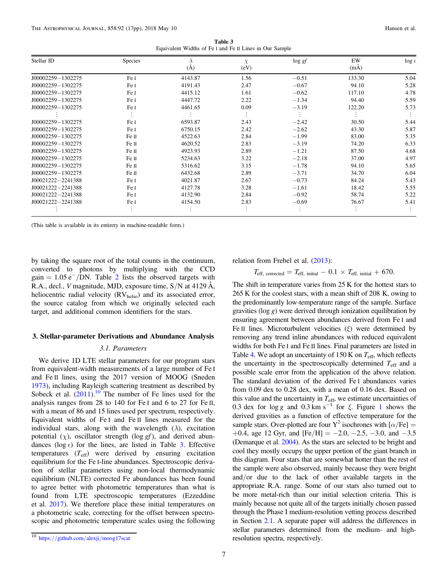Table 3 Equivalent Widths of Fe I and Fe II Lines in Our Sample

<span id="page-7-0"></span>

| Stellar ID            | <b>Species</b> | (A)     | $\chi$<br>(eV) | $\log gf$ | EW<br>(mA) | $\log \epsilon$ |
|-----------------------|----------------|---------|----------------|-----------|------------|-----------------|
| J00002259-1302275     | Fe I           | 4143.87 | 1.56           | $-0.51$   | 133.30     | 5.04            |
| J00002259-1302275     | Fe I           | 4191.43 | 2.47           | $-0.67$   | 94.10      | 5.28            |
| J00002259-1302275     | Fe I           | 4415.12 | 1.61           | $-0.62$   | 117.10     | 4.78            |
| $J00002259 - 1302275$ | Fe I           | 4447.72 | 2.22           | $-1.34$   | 94.40      | 5.59            |
| J00002259-1302275     | Fe I           | 4461.65 | 0.09           | $-3.19$   | 122.20     | 5.73            |
|                       |                |         |                |           |            |                 |
| J00002259-1302275     | Fe I           | 6593.87 | 2.43           | $-2.42$   | 30.50      | 5.44            |
| $J00002259 - 1302275$ | Fe I           | 6750.15 | 2.42           | $-2.62$   | 43.30      | 5.87            |
| J00002259-1302275     | Fe II          | 4522.63 | 2.84           | $-1.99$   | 83.00      | 5.35            |
| J00002259-1302275     | Fe II          | 4620.52 | 2.83           | $-3.19$   | 74.20      | 6.33            |
| J00002259-1302275     | Fe II          | 4923.93 | 2.89           | $-1.21$   | 87.50      | 4.68            |
| $J00002259 - 1302275$ | Fe II          | 5234.63 | 3.22           | $-2.18$   | 37.00      | 4.97            |
| $J00002259 - 1302275$ | Fe II          | 5316.62 | 3.15           | $-1.78$   | 94.10      | 5.65            |
| $J00002259 - 1302275$ | Fe II          | 6432.68 | 2.89           | $-3.71$   | 34.70      | 6.04            |
| $J00021222 - 2241388$ | Fe I           | 4021.87 | 2.67           | $-0.73$   | 84.24      | 5.43            |
| $J00021222 - 2241388$ | Fe I           | 4127.78 | 3.28           | $-1.61$   | 18.42      | 5.55            |
| J00021222-2241388     | Fe I           | 4132.90 | 2.84           | $-0.92$   | 58.74      | 5.22            |
| $J00021222 - 2241388$ | Fe I           | 4154.50 | 2.83           | $-0.69$   | 76.67      | 5.41            |
|                       |                |         |                |           |            |                 |

(This table is available in its entirety in machine-readable form.)

by taking the square root of the total counts in the continuum, converted to photons by multiplying with the CCD gain =  $1.05 e^-/DN$ . Table [2](#page-4-0) lists the observed targets with R.A., decl., V magnitude, MJD, exposure time, S/N at 4129 Å, heliocentric radial velocity  $\left(\text{RV}_{\text{helio}}\right)$  and its associated error, the source catalog from which we originally selected each target, and additional common identifiers for the stars.

#### 3. Stellar-parameter Derivations and Abundance Analysis

#### 3.1. Parameters

We derive 1D LTE stellar parameters for our program stars from equivalent-width measurements of a large number of Fe I and Fe II lines, using the 2017 version of MOOG (Sneden [1973](#page-17-0)), including Rayleigh scattering treatment as described by Sobeck et al.  $(2011)$  $(2011)$  $(2011)$ .<sup>10</sup> The number of Fe lines used for the analysis ranges from 28 to 140 for Fe I and 6 to 27 for Fe II, with a mean of 86 and 15 lines used per spectrum, respectively. Equivalent widths of Fe I and Fe II lines measured for the individual stars, along with the wavelength  $(\lambda)$ , excitation potential  $(\chi)$ , oscillator strength (log *gf*), and derived abundances (log  $\epsilon$ ) for the lines, are listed in Table 3. Effective temperatures  $(T_{\text{eff}})$  were derived by ensuring excitation equilibrium for the Fe I-line abundances. Spectroscopic derivation of stellar parameters using non-local thermodynamic equilibrium (NLTE) corrected Fe abundances has been found to agree better with photometric temperatures than what is found from LTE spectroscopic temperatures (Ezzeddine et al. [2017](#page-16-0)). We therefore place these initial temperatures on a photometric scale, correcting for the offset between spectroscopic and photometric temperature scales using the following relation from Frebel et al. ([2013](#page-17-0)):

$$
T_{\text{eff, corrected}} = T_{\text{eff, initial}} - 0.1 \times T_{\text{eff, initial}} + 670.
$$

The shift in temperature varies from 25 K for the hottest stars to 265 K for the coolest stars, with a mean shift of 208 K, owing to the predominantly low-temperature range of the sample. Surface gravities ( $log g$ ) were derived through ionization equilibration by ensuring agreement between abundances derived from Fe I and Fe II lines. Microturbulent velocities  $(\xi)$  were determined by removing any trend inline abundances with reduced equivalent widths for both Fe I and Fe II lines. Final parameters are listed in Table [4](#page-8-0). We adopt an uncertainty of 150 K on  $T_{\text{eff}}$ , which reflects the uncertainty in the spectroscopically determined  $T_{\text{eff}}$  and a possible scale error from the application of the above relation. The standard deviation of the derived Fe I abundances varies from 0.09 dex to 0.28 dex, with a mean of 0.16 dex. Based on this value and the uncertainty in  $T_{\text{eff}}$ , we estimate uncertainties of 0.3 dex for  $\log g$  and 0.3 km s<sup>-[1](#page-10-0)</sup> for  $\xi$ . Figure 1 shows the derived gravities as a function of effective temperature for the sample stars. Over-plotted are four Y<sup>2</sup> isochrones with  $\alpha$ /Fe] = +0.4, age 12 Gyr, and  $[Fe/H] = -2.0, -2.5, -3.0,$  and  $-3.5$ (Demarque et al. [2004](#page-16-0)). As the stars are selected to be bright and cool they mostly occupy the upper portion of the giant branch in this diagram. Four stars that are somewhat hotter than the rest of the sample were also observed, mainly because they were bright and/or due to the lack of other available targets in the appropriate R.A. range. Some of our stars also turned out to be more metal-rich than our initial selection criteria. This is mainly because not quite all of the targets initially chosen passed through the Phase I medium-resolution vetting process described in Section [2.1](#page-3-0). A separate paper will address the differences in stellar parameters determined from the medium- and highresolution spectra, respectively.

<sup>10</sup> https://github.com/alexji/[moog17scat](https://github.com/alexji/moog17scat)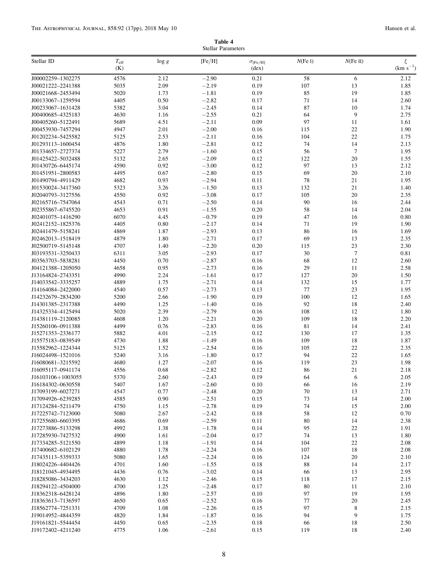| Table 4            |  |
|--------------------|--|
| Stellar Parameters |  |

<span id="page-8-0"></span>

| Stellar ID                             | $T_{\rm eff}$<br>(K) | log g        | [Fe/H]             | $\sigma_{\rm [Fe/H]}$<br>$(\text{dex})$ | $N$ (Fe I) | $N$ (Fe II)  | ξ<br>$(km s^{-1})$ |
|----------------------------------------|----------------------|--------------|--------------------|-----------------------------------------|------------|--------------|--------------------|
| J00002259-1302275                      | 4576                 | 2.12         | $-2.90$            | 0.21                                    | 58         | 6            | 2.12               |
| J00021222-2241388                      | 5035                 | 2.09         | $-2.19$            | 0.19                                    | 107        | 13           | 1.85               |
| J00021668-2453494                      | 5020                 | 1.73         | $-1.81$            | 0.19                                    | 85         | 19           | 1.85               |
| J00133067-1259594                      | 4405                 | 0.50         | $-2.82$            | 0.17                                    | 71         | 14           | 2.60               |
| J00233067-1631428                      | 5382                 | 3.04         | $-2.45$            | 0.14                                    | 87         | $10\,$       | 1.74               |
| J00400685-4325183                      | 4630                 | 1.16         | $-2.55$            | 0.21                                    | 64         | 9            | 2.75               |
| J00405260-5122491                      | 5689                 | 4.51         | $-2.11$            | 0.09                                    | 97         | 11           | 1.61               |
| J00453930-7457294                      | 4947                 | 2.01         | $-2.00$            | 0.16                                    | 115        | 22           | 1.90               |
| J01202234-5425582                      | 5125                 | 2.53         | $-2.11$            | 0.16                                    | 104        | 22           | 1.75               |
| J01293113-1600454                      | 4876                 | 1.80         | $-2.81$            | 0.12                                    | 74         | 14           | 2.13               |
| J01334657-2727374                      | 5227                 | 2.79         | $-1.60$            | 0.15                                    | 56         | $\tau$       | 1.95               |
| J01425422-5032488                      | 5132                 | 2.65         | $-2.09$            | 0.12                                    | 122        | $20\,$       | 1.55               |
| J01430726-6445174                      | 4590                 | 0.92         | $-3.00$            | 0.12                                    | 97         | 13           | 2.12               |
| J01451951-2800583                      | 4495                 | 0.67         | $-2.80$            | 0.15                                    | 69         | 20           | 2.10               |
| J01490794-4911429                      | 4682                 | 0.93         | $-2.94$            | 0.11                                    | 78         | 21           | 1.95               |
| J01530024-3417360                      | 5323                 | 3.26         | $-1.50$            | 0.13                                    | 132        | 21           | 1.40               |
| J02040793-3127556                      | 4550                 | 0.92         | $-3.08$            | 0.17                                    | 105        | 20           | 2.35               |
| J02165716-7547064                      | 4543                 | 0.71         | $-2.50$            | 0.14                                    | 90         | 16           | 2.44               |
| J02355867-6745520                      | 4653                 | 0.91         | $-1.55$            | 0.20                                    | 58         | 14           | 2.04               |
| J02401075-1416290                      | 6070                 | 4.45         | $-0.79$            | 0.19                                    | 47         | 16           | 0.80               |
| J02412152-1825376                      | 4405                 | 0.80         | $-2.17$            | 0.14                                    | 71         | 19           | 1.90               |
| J02441479-5158241                      | 4869                 | 1.87         | $-2.93$            | 0.13                                    | 86<br>69   | 16           | 1.69               |
| J02462013-1518419                      | 4879<br>4707         | 1.80         | $-2.71$<br>$-2.20$ | 0.17                                    |            | 13           | 2.35               |
| J02500719-5145148                      | 6311                 | 1.40<br>3.05 | $-2.93$            | 0.20<br>0.17                            | 115<br>30  | 23<br>$\tau$ | 2.30               |
| J03193531-3250433                      |                      |              | $-2.87$            |                                         |            | 12           | 0.81               |
| J03563703-5838281<br>J04121388-1205050 | 4450<br>4658         | 0.70<br>0.95 | $-2.73$            | 0.16<br>0.16                            | 68<br>29   | 11           | 2.60<br>2.58       |
| J13164824-2743351                      | 4990                 | 2.24         | $-1.61$            | 0.17                                    | 127        | $20\,$       | 1.50               |
| J14033542-3335257                      | 4889                 | 1.75         | $-2.71$            | 0.14                                    | 132        | 15           | 1.77               |
| J14164084-2422000                      | 4540                 | 0.57         | $-2.73$            | 0.13                                    | 77         | 23           | 1.95               |
| J14232679-2834200                      | 5200                 | 2.66         | $-1.90$            | 0.19                                    | 100        | 12           | 1.65               |
| J14301385-2317388                      | 4490                 | 1.25         | $-1.40$            | 0.16                                    | 92         | 18           | 2.40               |
| J14325334-4125494                      | 5020                 | 2.39         | $-2.79$            | 0.16                                    | 108        | 12           | 1.80               |
| J14381119-2120085                      | 4608                 | 1.20         | $-2.21$            | 0.20                                    | 109        | 18           | 2.20               |
| J15260106-0911388                      | 4499                 | 0.76         | $-2.83$            | 0.16                                    | 81         | 14           | 2.41               |
| J15271353-2336177                      | 5882                 | 4.01         | $-2.15$            | 0.12                                    | 130        | 17           | 1.35               |
| J15575183-0839549                      | 4730                 | 1.88         | $-1.49$            | 0.16                                    | 109        | 18           | 1.87               |
| J15582962-1224344                      | 5125                 | 1.52         | $-2.54$            | 0.16                                    | 105        | 22           | 2.35               |
| J16024498-1521016                      | 5240                 | 3.16         | $-1.80$            | 0.17                                    | 94         | $22\,$       | 1.65               |
| J16080681-3215592                      | 4680                 | 1.27         | $-2.07$            | 0.16                                    | 119        | 23           | 1.98               |
| J16095117-0941174                      | 4556                 | 0.68         | $-2.82$            | 0.12                                    | 86         | 21           | 2.18               |
| J16103106+1003055                      | 5370                 | 2.60         | $-2.43$            | 0.19                                    | 64         | 6            | 2.05               |
| J16184302-0630558                      | 5407                 | 1.67         | $-2.60$            | 0.10                                    | 66         | 16           | 2.19               |
| J17093199-6027271                      | 4547                 | 0.77         | $-2.48$            | 0.20                                    | $70\,$     | 13           | 2.71               |
| J17094926-6239285                      | 4585                 | 0.90         | $-2.51$            | 0.15                                    | 73         | 14           | 2.00               |
| J17124284-5211479                      | 4750                 | 1.15         | $-2.78$            | 0.19                                    | 74         | 15           | 2.00               |
| J17225742-7123000                      | 5080                 | 2.67         | $-2.42$            | 0.18                                    | 58         | 12           | 0.70               |
| J17255680-6603395                      | 4686                 | 0.69         | $-2.59$            | 0.11                                    | 80         | 14           | 2.38               |
| J17273886-5133298                      | 4992                 | 1.38         | $-1.78$            | 0.14                                    | 95         | 22           | 1.91               |
| J17285930-7427532                      | 4900                 | 1.61         | $-2.04$            | 0.17                                    | 74         | 13           | 1.80               |
| J17334285-5121550                      | 4899                 | 1.18         | $-1.91$            | 0.14                                    | 104        | 22           | 2.08               |
| J17400682-6102129                      | 4880                 | 1.78         | $-2.24$            | 0.16                                    | 107        | 18           | 2.08               |
| J17435113-5359333                      | 5080                 | 1.65         | $-2.24$            | 0.16                                    | 124        | $20\,$       | 2.10               |
| J18024226-4404426                      | 4701                 | 1.60         | $-1.55$            | 0.18                                    | 88         | 14           | 2.17               |
| J18121045-4934495                      | 4436                 | 0.76         | $-3.02$            | 0.14                                    | 66         | 13           | 2.95               |
| J18285086-3434203                      | 4630                 | 1.12         | $-2.46$            | 0.15                                    | 118        | 17           | 2.15               |
| J18294122-4504000                      | 4700                 | 1.25         | $-2.48$            | 0.17                                    | 80         | 11           | 2.10               |
| J18362318-6428124                      | 4896                 | 1.80         | $-2.57$            | 0.10                                    | 97         | 19           | 1.95               |
| J18363613-7136597                      | 4650                 | 0.65         | $-2.52$            | 0.16                                    | 77         | $20\,$       | 2.45               |
| J18562774-7251331                      | 4709                 | 1.08         | $-2.26$            | 0.15                                    | 97         | 8            | 2.15               |
| J19014952-4844359<br>J19161821-5544454 | 4820<br>4450         | 1.84<br>0.65 | $-1.87$<br>$-2.35$ | 0.16<br>0.18                            | 94<br>66   | 9<br>18      | 1.75<br>2.50       |
| J19172402-4211240                      | 4775                 | 1.06         | $-2.61$            | 0.15                                    | 119        | 18           | 2.40               |
|                                        |                      |              |                    |                                         |            |              |                    |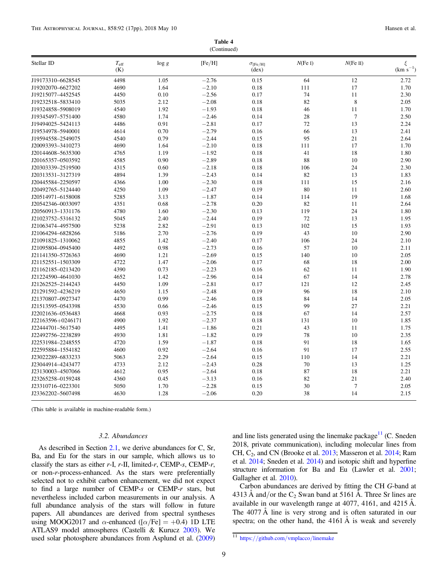| Table 4     |  |
|-------------|--|
| (Continued) |  |

|                   |                      |          | $\sqrt{2}$ |                                              |            |                |                        |
|-------------------|----------------------|----------|------------|----------------------------------------------|------------|----------------|------------------------|
| Stellar ID        | $T_{\rm eff}$<br>(K) | $\log g$ | [Fe/H]     | $\sigma_{\rm [Fe/H]}$<br>$(\dot{d}e\dot{x})$ | $N$ (Fe I) | $N$ (Fe II)    | $\xi$<br>$(km s^{-1})$ |
| J19173310-6628545 | 4498                 | 1.05     | $-2.76$    | 0.15                                         | 64         | 12             | 2.72                   |
| J19202070-6627202 | 4690                 | 1.64     | $-2.10$    | 0.18                                         | 111        | 17             | 1.70                   |
| J19215077-4452545 | 4450                 | 0.10     | $-2.56$    | 0.17                                         | 74         | 11             | 2.30                   |
| J19232518-5833410 | 5035                 | 2.12     | $-2.08$    | 0.18                                         | 82         | $\,$ 8 $\,$    | 2.05                   |
| J19324858-5908019 | 4540                 | 1.92     | $-1.93$    | 0.18                                         | 46         | 11             | 1.70                   |
| J19345497-5751400 | 4580                 | 1.74     | $-2.46$    | 0.14                                         | 28         | $\tau$         | 2.50                   |
| J19494025-5424113 | 4486                 | 0.91     | $-2.81$    | 0.17                                         | 72         | 13             | 2.24                   |
| J19534978-5940001 | 4614                 | 0.70     | $-2.79$    | 0.16                                         | 66         | 13             | 2.41                   |
| J19594558-2549075 | 4540                 | 0.79     | $-2.44$    | 0.15                                         | 95         | $21\,$         | 2.64                   |
| J20093393-3410273 | 4690                 | 1.64     | $-2.10$    | 0.18                                         | 111        | 17             | 1.70                   |
| J20144608-5635300 | 4765                 | 1.19     | $-1.92$    | 0.18                                         | 41         | 18             | 1.80                   |
| J20165357-0503592 | 4585                 | 0.90     | $-2.89$    | 0.18                                         | 88         | 10             | 2.90                   |
| J20303339-2519500 | 4315                 | 0.60     | $-2.18$    | 0.18                                         | 106        | 24             | 2.30                   |
| J20313531-3127319 | 4894                 | 1.39     | $-2.43$    | 0.14                                         | 82         | 13             | 1.83                   |
| J20445584-2250597 | 4366                 | 1.00     | $-2.30$    | 0.18                                         | 111        | 15             | 2.16                   |
| J20492765-5124440 | 4250                 | 1.09     | $-2.47$    | 0.19                                         | 80         | 11             | 2.60                   |
| J20514971-6158008 | 5285                 | 3.13     | $-1.87$    | 0.14                                         | 114        | 19             | 1.68                   |
| J20542346-0033097 | 4351                 | 0.68     | $-2.78$    | 0.20                                         | 82         | 11             | 2.64                   |
| J20560913-1331176 | 4780                 | 1.60     | $-2.30$    | 0.13                                         | 119        | 24             | 1.80                   |
| J21023752-5316132 | 5045                 | 2.40     | $-2.44$    | 0.19                                         | 72         | 13             | 1.95                   |
| J21063474-4957500 | 5238                 | 2.82     | $-2.91$    | 0.13                                         | 102        | 15             | 1.93                   |
| J21064294-6828266 | 5186                 | 2.70     | $-2.76$    | 0.19                                         | 43         | 10             | 2.90                   |
| J21091825-1310062 | 4855                 | 1.42     | $-2.40$    | 0.17                                         | 106        | 24             | 2.10                   |
| J21095804-0945400 | 4492                 | 0.98     | $-2.73$    | 0.16                                         | 57         | 10             | 2.11                   |
| J21141350-5726363 | 4690                 | 1.21     | $-2.69$    | 0.15                                         | 140        | 10             | 2.05                   |
| J21152551-1503309 | 4722                 | 1.47     | $-2.06$    | 0.17                                         | 68         | 18             | 2.00                   |
| J21162185-0213420 | 4390                 | 0.73     | $-2.23$    | 0.16                                         | 62         | 11             | 1.90                   |
| J21224590-4641030 | 4652                 | 1.42     | $-2.96$    | 0.14                                         | 67         | 14             | 2.78                   |
| J21262525-2144243 | 4450                 | 1.09     | $-2.81$    | 0.17                                         | 121        | 12             | 2.45                   |
| J21291592-4236219 | 4650                 | 1.15     | $-2.48$    | 0.19                                         | 96         | 18             | 2.10                   |
| J21370807-0927347 | 4470                 | 0.99     | $-2.46$    | 0.18                                         | 84         | 14             | 2.05                   |
| J21513595-0543398 | 4530                 | 0.66     | $-2.46$    | 0.15                                         | 99         | 27             | 2.21                   |
| J22021636-0536483 | 4668                 | 0.93     | $-2.75$    | 0.18                                         | 67         | 14             | 2.57                   |
| J22163596+0246171 | 4900                 | 1.92     | $-2.37$    | 0.18                                         | 131        | 10             | 1.85                   |
| J22444701-5617540 | 4495                 | 1.41     | $-1.86$    | 0.21                                         | 43         | 11             | 1.75                   |
| J22492756-2238289 | 4930                 | 1.81     | $-1.82$    | 0.19                                         | 78         | 10             | 2.35                   |
| J22531984-2248555 | 4720                 | 1.59     | $-1.87$    | 0.18                                         | 91         | 18             | 1.65                   |
| J22595884-1554182 | 4600                 | 0.92     | $-2.64$    | 0.16                                         | 91         | 17             | 2.55                   |
| J23022289-6833233 | 5063                 | 2.29     | $-2.64$    | 0.15                                         | 110        | 14             | 2.21                   |
|                   | 4733                 | 2.12     | $-2.43$    | 0.28                                         | 70         | 13             | 1.25                   |
| J23044914-4243477 |                      |          | $-2.64$    |                                              |            | 18             | 2.21                   |
| J23130003-4507066 | 4612                 | 0.95     |            | 0.18                                         | 87         |                |                        |
| J23265258-0159248 | 4360                 | 0.45     | $-3.13$    | 0.16                                         | 82         | 21             | 2.40                   |
| J23310716-0223301 | 5050                 | 1.70     | $-2.28$    | 0.15                                         | 30         | $\overline{7}$ | 2.05                   |
| J23362202-5607498 | 4630                 | 1.28     | $-2.06$    | 0.20                                         | 38         | 14             | 2.15                   |

(This table is available in machine-readable form.)

### 3.2. Abundances

As described in Section [2.1](#page-3-0), we derive abundances for C, Sr, Ba, and Eu for the stars in our sample, which allows us to classify the stars as either  $r$ -I,  $r$ -II, limited- $r$ , CEMP- $s$ , CEMP- $r$ , or non-r-process-enhanced. As the stars were preferentially selected not to exhibit carbon enhancement, we did not expect to find a large number of CEMP-s or CEMP-r stars, but nevertheless included carbon measurements in our analysis. A full abundance analysis of the stars will follow in future papers. All abundances are derived from spectral syntheses using MOOG2017 and  $\alpha$ -enhanced ([ $\alpha$ /Fe] = +0.4) 1D LTE ATLAS9 model atmospheres (Castelli & Kurucz [2003](#page-16-0)). We used solar photosphere abundances from Asplund et al. ([2009](#page-16-0)) and line lists generated using the linemake package $^{11}$  (C. Sneden 2018, private communication), including molecular lines from CH,  $C_2$ , and CN (Brooke et al. [2013](#page-16-0); Masseron et al. [2014](#page-17-0); Ram et al. [2014;](#page-17-0) Sneden et al. [2014](#page-17-0)) and isotopic shift and hyperfine structure information for Ba and Eu (Lawler et al. [2001](#page-17-0); Gallagher et al. [2010](#page-17-0)).

Carbon abundances are derived by fitting the CH G-band at 4313 Å and/or the  $C_2$  Swan band at 5161 Å. Three Sr lines are available in our wavelength range at 4077, 4161, and 4215 Å. The 4077 Å line is very strong and is often saturated in our spectra; on the other hand, the 4161 Å is weak and severely

<sup>11</sup> https://[github.com](https://github.com/vmplacco/linemake)/vmplacco/linemake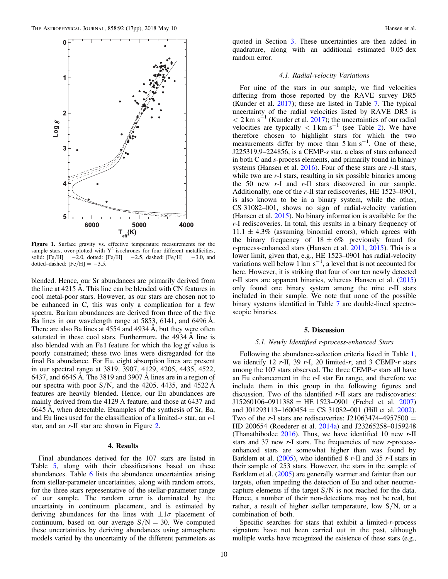<span id="page-10-0"></span>

Figure 1. Surface gravity vs. effective temperature measurements for the sample stars, over-plotted with  $Y^2$  isochrones for four different metallicities, solid:  $[Fe/H] = -2.0$ , dotted:  $[Fe/H] = -2.5$ , dashed:  $[Fe/H] = -3.0$ , and dotted–dashed:  $[Fe/H] = -3.5$ .

blended. Hence, our Sr abundances are primarily derived from the line at 4215 Å. This line can be blended with CN features in cool metal-poor stars. However, as our stars are chosen not to be enhanced in C, this was only a complication for a few spectra. Barium abundances are derived from three of the five Ba lines in our wavelength range at 5853, 6141, and 6496 Å. There are also Ba lines at 4554 and 4934 Å, but they were often saturated in these cool stars. Furthermore, the 4934 Å line is also blended with an Fe I feature for which the log gf value is poorly constrained; these two lines were disregarded for the final Ba abundance. For Eu, eight absorption lines are present in our spectral range at 3819, 3907, 4129, 4205, 4435, 4522, 6437, and 6645 Å. The 3819 and 3907 Å lines are in a region of our spectra with poor  $S/N$ , and the 4205, 4435, and 4522 Å features are heavily blended. Hence, our Eu abundances are mainly derived from the 4129 Å feature, and those at 6437 and 6645 Å, when detectable. Examples of the synthesis of Sr, Ba, and Eu lines used for the classification of a limited- $r$  star, an  $r$ -I star, and an r-II star are shown in Figure [2.](#page-11-0)

#### 4. Results

Final abundances derived for the 107 stars are listed in Table [5](#page-12-0), along with their classifications based on these abundances. Table [6](#page-14-0) lists the abundance uncertainties arising from stellar-parameter uncertainties, along with random errors, for the three stars representative of the stellar-parameter range of our sample. The random error is dominated by the uncertainty in continuum placement, and is estimated by deriving abundances for the lines with  $\pm 1\sigma$  placement of continuum, based on our average  $S/N = 30$ . We computed these uncertainties by deriving abundances using atmosphere models varied by the uncertainty of the different parameters as

quoted in Section [3](#page-7-0). These uncertainties are then added in quadrature, along with an additional estimated 0.05 dex random error.

#### 4.1. Radial-velocity Variations

For nine of the stars in our sample, we find velocities differing from those reported by the RAVE survey DR5 (Kunder et al. [2017](#page-17-0)); these are listed in Table [7.](#page-14-0) The typical uncertainty of the radial velocities listed by RAVE DR5 is  $<$  2 km s<sup>-1</sup> (Kunder et al. [2017](#page-17-0)); the uncertainties of our radial velocities are typically  $\langle 1 \text{ km s}^{-1} \rangle$  (see Table [2](#page-4-0)). We have therefore chosen to highlight stars for which the two measurements differ by more than  $5 \text{ km s}^{-1}$ . One of these, J225319.9–224856, is a CEMP-s star, a class of stars enhanced in both C and s-process elements, and primarily found in binary systems (Hansen et al. [2016](#page-17-0)). Four of these stars are r-II stars, while two are r-I stars, resulting in six possible binaries among the 50 new r-I and r-II stars discovered in our sample. Additionally, one of the r-II star rediscoveries, HE 1523–0901, is also known to be in a binary system, while the other, CS 31082–001, shows no sign of radial-velocity variation (Hansen et al. [2015](#page-17-0)). No binary information is available for the r-I rediscoveries. In total, this results in a binary frequency of  $11.1 \pm 4.3\%$  (assuming binomial errors), which agrees with the binary frequency of  $18 \pm 6\%$  previously found for r-process-enhanced stars (Hansen et al. [2011](#page-17-0), [2015](#page-17-0)). This is a lower limit, given that, e.g., HE 1523–0901 has radial-velocity variations well below 1 km  $s^{-1}$ , a level that is not accounted for here. However, it is striking that four of our ten newly detected  $r$ -II stars are apparent binaries, whereas Hansen et al.  $(2015)$  $(2015)$  $(2015)$ only found one binary system among the nine  $r$ -II stars included in their sample. We note that none of the possible binary systems identified in Table [7](#page-14-0) are double-lined spectroscopic binaries.

#### 5. Discussion

#### 5.1. Newly Identified r-process-enhanced Stars

Following the abundance-selection criteria listed in Table [1](#page-2-0), we identify 12  $r$ -II, 39  $r$ -I, 20 limited- $r$ , and 3 CEMP- $r$  stars among the 107 stars observed. The three CEMP-r stars all have an Eu enhancement in the  $r-1$  star Eu range, and therefore we include them in this group in the following figures and discussion. Two of the identified r-II stars are rediscoveries:  $J15260106-0911388 = HE 1523-0901$  (Frebel et al. [2007](#page-17-0)) and J01293113-1600454 = CS 31082-001 (Hill et al. [2002](#page-17-0)). Two of the r-I stars are rediscoveries:  $J21063474 - 4957500 =$ HD 200654 (Roederer et al. [2014a](#page-17-0)) and J23265258–0159248 (Thanathibodee [2016](#page-17-0)). Thus, we have identified 10 new  $r$ -II stars and 37 new  $r-$ I stars. The frequencies of new  $r$ -processenhanced stars are somewhat higher than was found by Barklem et al.  $(2005)$  $(2005)$  $(2005)$ , who identified 8 r-II and 35 r-I stars in their sample of 253 stars. However, the stars in the sample of Barklem et al. ([2005](#page-16-0)) are generally warmer and fainter than our targets, often impeding the detection of Eu and other neutroncapture elements if the target  $S/N$  is not reached for the data. Hence, a number of their non-detections may not be real, but rather, a result of higher stellar temperature, low  $S/N$ , or a combination of both.

Specific searches for stars that exhibit a limited-r-process signature have not been carried out in the past, although multiple works have recognized the existence of these stars (e.g.,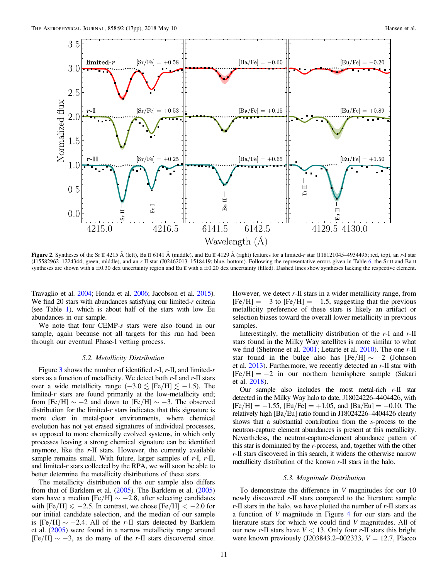<span id="page-11-0"></span>

Figure 2. Syntheses of the Sr II 4215 Å (left), Ba II 6141 Å (middle), and Eu II 4129 Å (right) features for a limited-r star (J18121045–4934495; red, top), an r-I star (J15582962–1224344; green, middle), and an r-II star (J02462013–1518419; blue, bottom). Following the representative errors given in Table [6,](#page-14-0) the Sr II and Ba II syntheses are shown with a  $\pm 0.30$  dex uncertainty region and Eu II with a  $\pm 0.20$  dex uncertainty (filled). Dashed lines show syntheses lacking the respective element.

Travaglio et al. [2004](#page-17-0); Honda et al. [2006](#page-17-0); Jacobson et al. [2015](#page-17-0)). We find 20 stars with abundances satisfying our limited- $r$  criteria (see Table [1](#page-2-0)), which is about half of the stars with low Eu abundances in our sample.

We note that four CEMP-s stars were also found in our sample, again because not all targets for this run had been through our eventual Phase-I vetting process.

#### 5.2. Metallicity Distribution

Figure [3](#page-15-0) shows the number of identified  $r$ -I,  $r$ -II, and limited- $r$ stars as a function of metallicity. We detect both  $r$ -I and  $r$ -II stars over a wide metallicity range  $(-3.0 \leq$  [Fe/H]  $\leq -1.5$ ). The limited- $r$  stars are found primarily at the low-metallicity end; from [Fe/H]  $\sim -2$  and down to [Fe/H]  $\sim -3$ . The observed distribution for the limited- $r$  stars indicates that this signature is more clear in metal-poor environments, where chemical evolution has not yet erased signatures of individual processes, as opposed to more chemically evolved systems, in which only processes leaving a strong chemical signature can be identified anymore, like the r-II stars. However, the currently available sample remains small. With future, larger samples of  $r$ -I,  $r$ -II, and limited-r stars collected by the RPA, we will soon be able to better determine the metallicity distributions of these stars.

The metallicity distribution of the our sample also differs from that of Barklem et al. ([2005](#page-16-0)). The Barklem et al. ([2005](#page-16-0)) stars have a median [Fe/H]  $\sim -2.8$ , after selecting candidates with  $[Fe/H] \le -2.5$ . In contrast, we chose  $[Fe/H] < -2.0$  for our initial candidate selection, and the median of our sample is [Fe/H]  $\sim$  −2.4. All of the r-II stars detected by Barklem et al. ([2005](#page-16-0)) were found in a narrow metallicity range around  $[Fe/H] \sim -3$ , as do many of the r-II stars discovered since.

However, we detect  $r$ -II stars in a wider metallicity range, from  $[Fe/H] = -3$  to  $[Fe/H] = -1.5$ , suggesting that the previous metallicity preference of these stars is likely an artifact or selection biases toward the overall lower metallicity in previous samples.

Interestingly, the metallicity distribution of the  $r$ -I and  $r$ -II stars found in the Milky Way satellites is more similar to what we find (Shetrone et al. [2001;](#page-17-0) Letarte et al. [2010](#page-17-0)). The one r-II star found in the bulge also has  $[Fe/H] \sim -2$  (Johnson et al. [2013](#page-17-0)). Furthermore, we recently detected an r-II star with  $[Fe/H] = -2$  in our northern hemisphere sample (Sakari et al. [2018](#page-17-0)).

Our sample also includes the most metal-rich  $r$ -II star detected in the Milky Way halo to date, J18024226–4404426, with  $[Fe/H] = -1.55$ ,  $[Eu/Fe] = +1.05$ , and  $[Ba/Eu] = -0.10$ . The relatively high [Ba/Eu] ratio found in J18024226–4404426 clearly shows that a substantial contribution from the s-process to the neutron-capture element abundances is present at this metallicity. Nevertheless, the neutron-capture-element abundance pattern of this star is dominated by the r-process, and, together with the other r-II stars discovered in this search, it widens the otherwise narrow metallicity distribution of the known r-II stars in the halo.

#### 5.3. Magnitude Distribution

To demonstrate the difference in V magnitudes for our 10 newly discovered r-II stars compared to the literature sample  $r$ -II stars in the halo, we have plotted the number of  $r$ -II stars as a function of V magnitude in Figure [4](#page-15-0) for our stars and the literature stars for which we could find V magnitudes. All of our new r-II stars have  $V < 13$ . Only four r-II stars this bright were known previously (J203843.2–002333,  $V = 12.7$ , Placco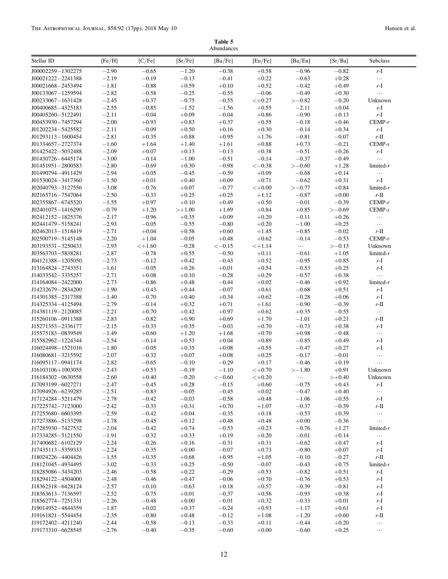Table 5 Abundances

<span id="page-12-0"></span>

|                                        |                    |                    |                    | Abundances         |                    |                    |                    |                     |
|----------------------------------------|--------------------|--------------------|--------------------|--------------------|--------------------|--------------------|--------------------|---------------------|
| Stellar ID                             | [Fe/H]             | [C/Fe]             | [Sr/Fe]            | [Ba/Fe]            | [Eu/Fe]            | [Ba/Eu]            | [Sr/Ba]            | Subclass            |
| J00002259-1302275                      | $-2.90$            | $-0.65$            | $-1.20$            | $-0.38$            | $+0.58$            | $-0.96$            | $-0.82$            | $r-I$               |
| J00021222-2241388                      | $-2.19$            | $-0.19$            | $-0.13$            | $-0.41$            | $+0.22$            | $-0.63$            | $+0.28$            | $\ldots$            |
| J00021668-2453494                      | $-1.81$            | $-0.88$            | $+0.59$            | $+0.10$            | $+0.52$            | $-0.42$            | $+0.49$            | r-I                 |
| J00133067-1259594                      | $-2.82$            | $-0.58$            | $-0.25$            | $-0.55$            | $-0.06$            | $-0.49$            | $+0.30$            | $\ldots$            |
| J00233067-1631428                      | $-2.45$            | $+0.37$            | $-0.75$            | $-0.55$            | $< +0.27$          | $>-0.82$           | $-0.20$            | Unknown             |
| J00400685-4325183                      | $-2.55$<br>$-2.11$ | $-0.85$<br>$-0.04$ | $-1.52$<br>$+0.09$ | $-1.56$<br>$-0.04$ | $+0.55$            | $-2.11$<br>$-0.90$ | $+0.04$<br>$+0.13$ | r-I<br>$r-I$        |
| J00405260-5122491<br>J00453930-7457294 | $-2.00$            | $+0.93$            | $+0.83$            | $+0.37$            | $+0.86$<br>$+0.55$ | $-0.18$            | $+0.46$            | $CEMP-r$            |
| J01202234-5425582                      | $-2.11$            | $-0.09$            | $+0.50$            | $+0.16$            | $+0.30$            | $-0.14$            | $+0.34$            | r-I                 |
| J01293113-1600454                      | $-2.81$            | $+0.35$            | $+0.88$            | $+0.95$            | $+1.76$            | $-0.81$            | $-0.07$            | $r$ -II             |
| J01334657-2727374                      | $-1.60$            | $+1.64$            | $+1.40$            | $+1.61$            | $+0.88$            | $+0.73$            | $-0.21$            | $CEMP-s$            |
| J01425422-5032488                      | $-2.09$            | $+0.07$            | $+0.13$            | $-0.13$            | $+0.38$            | $-0.51$            | $+0.26$            | r-I                 |
| J01430726-6445174                      | $-3.00$            | $-0.14$            | $-1.00$            | $-0.51$            | $-0.14$            | $-0.37$            | $-0.49$            | $\ldots$            |
| J01451951-2800583                      | $-2.80$            | $-0.69$            | $+0.30$            | $-0.98$            | $<-0.38$           | $>-0.60$           | $+1.28$            | $limited-r$         |
| J01490794-4911429                      | $-2.94$            | $+0.05$            | $-0.45$            | $-0.59$            | $+0.09$            | $-0.68$            | $+0.14$            | $\ldots$            |
| J01530024-3417360                      | $-1.50$            | $+0.01$            | $+0.40$            | $+0.09$            | $+0.71$            | $-0.62$            | $+0.31$            | $r-I$               |
| J02040793-3127556                      | $-3.08$            | $-0.76$            | $+0.07$            | $-0.77$            | $< +0.00$          | $>-0.77$           | $+0.84$            | $limited-r$         |
| J02165716-7547064                      | $-2.50$            | $-0.33$            | $+0.25$            | $+0.25$            | $+1.12$            | $-0.87$            | $+0.00$            | $r$ -II             |
| J02355867-6745520                      | $-1.55$            | $+0.97$            | $+0.10$            | $+0.49$            | $+0.50$            | $-0.01$            | $-0.39$            | $CEMP-r$            |
| J02401075-1416290                      | $-0.79$            | $+1.20$            | $>+1.00$           | $+1.69$            | $+0.84$            | $+0.85$            | $>-0.69$           | $CEMP-s$            |
| J02412152-1825376                      | $-2.17$            | $-0.96$            | $+0.35$            | $+0.09$            | $+0.20$            | $-0.11$            | $+0.26$            | $\ldots$            |
| J02441479-5158241                      | $-2.93$            | $-0.05$            | $-0.55$            | $-0.80$            | $+0.20$            | $-1.00$            | $+0.25$            | $\dots$             |
| J02462013-1518419<br>J02500719-5145148 | $-2.71$<br>$-2.20$ | $+0.04$<br>$+1.04$ | $+0.58$<br>$-0.05$ | $+0.60$<br>$+0.48$ | $+1.45$<br>$+0.62$ | $-0.85$<br>$-0.14$ | $-0.02$<br>$-0.53$ | $r$ -II<br>$CEMP-r$ |
| J03193531-3250433                      | $-2.93$            | $< +1.60$          | $-0.28$            | $<-0.15$           | $< +1.14$          | $\ldots$           | $>-0.13$           | Unknown             |
| J03563703-5838281                      | $-2.87$            | $-0.78$            | $+0.55$            | $-0.50$            | $+0.11$            | $-0.61$            | $+1.05$            | $limited-r$         |
| J04121388-1205050                      | $-2.73$            | $-0.12$            | $+0.42$            | $-0.43$            | $+0.52$            | $-0.95$            | $+0.85$            | r-I                 |
| J13164824-2743351                      | $-1.61$            | $-0.05$            | $+0.26$            | $+0.01$            | $+0.54$            | $-0.53$            | $+0.25$            | r-I                 |
| J14033542-3335257                      | $-2.71$            | $+0.08$            | $+0.10$            | $-0.28$            | $+0.29$            | $-0.57$            | $+0.38$            | $\ldots$            |
| J14164084-2422000                      | $-2.73$            | $-0.86$            | $+0.48$            | $-0.44$            | $+0.02$            | $-0.46$            | $+0.92$            | $limited-r$         |
| J14232679-2834200                      | $-1.90$            | $+0.43$            | $+0.44$            | $-0.07$            | $+0.61$            | $-0.68$            | $+0.51$            | r-I                 |
| J14301385-2317388                      | $-1.40$            | $-0.70$            | $+0.40$            | $+0.34$            | $+0.62$            | $-0.28$            | $+0.06$            | $r-I$               |
| J14325334-4125494                      | $-2.79$            | $-0.14$            | $+0.32$            | $+0.71$            | $+1.61$            | $-0.90$            | $-0.39$            | $r$ -II             |
| J14381119-2120085                      | $-2.21$            | $+0.70$            | $+0.42$            | $+0.97$            | $+0.62$            | $+0.35$            | $-0.55$            | $\ldots$            |
| J15260106-0911388                      | $-2.83$            | $-0.82$            | $+0.90$            | $+0.69$            | $+1.70$            | $-1.01$            | $+0.21$            | $r$ -II             |
| J15271353-2336177                      | $-2.15$            | $+0.33$            | $+0.35$            | $-0.03$            | $+0.70$            | $-0.73$            | $+0.38$            | $r-I$               |
| J15575183-0839549                      | $-1.49$            | $+0.60$            | $+1.20$            | $+1.68$            | $+0.70$            | $+0.98$            | $-0.48$            | $\ldots$            |
| J15582962-1224344<br>J16024498-1521016 | $-2.54$<br>$-1.80$ | $-0.14$<br>$-0.05$ | $+0.53$<br>$+0.35$ | $+0.04$<br>$+0.08$ | $+0.89$<br>$+0.55$ | $-0.85$<br>$-0.47$ | $+0.49$<br>$+0.27$ | r-I<br>r-I          |
| J16080681-3215592                      | $-2.07$            | $-0.32$            | $+0.07$            | $+0.08$            | $+0.25$            | $-0.17$            | $-0.01$            | $\ldots$            |
| J16095117-0941174                      | $-2.82$            | $-0.65$            | $-0.10$            | $-0.29$            | $+0.17$            | $-0.46$            | $+0.19$            | $\ldots$            |
| J16103106+1003055                      | $-2.43$            | $+0.53$            | $-0.19$            | $-1.10$            | $< +0.70$          | $>-1.80$           | $+0.91$            | Unknown             |
| J16184302-0630558                      | $-2.60$            | $+0.40$            | $-0.20$            | $<-0.60$           | $< +0.20$          |                    | $>+0.40$           | Unknown             |
| J17093199-6027271                      | $-2.47$            | $-0.45$            | $+0.28$            | $-0.15$            | $+0.60$            | $-0.75$            | $+0.43$            | r-I                 |
| J17094926-6239285                      | $-2.51$            | $-0.83$            | $-0.05$            | $-0.45$            | $+0.02$            | $-0.47$            | $+0.40$            | $\ldots$            |
| J17124284-5211479                      | $-2.78$            | $-0.42$            | $-0.03$            | $-0.58$            | $+0.48$            | $-1.06$            | $+0.55$            | $r-I$               |
| J17225742-7123000                      | $-2.42$            | $-0.33$            | $+0.31$            | $+0.70$            | $+1.07$            | $-0.37$            | $-0.39$            | $r$ -II             |
| J17255680-6603395                      | $-2.59$            | $-0.42$            | $+0.04$            | $-0.35$            | $+0.18$            | $-0.53$            | $+0.39$            | $\ldots$            |
| J17273886-5133298                      | $-1.78$            | $-0.45$            | $+0.12$            | $+0.48$            | $+0.48$            | $+0.00$            | $-0.36$            | $\ldots$            |
| J17285930-7427532                      | $-2.04$            | $-0.42$            | $+0.74$            | $-0.53$            | $+0.23$            | $-0.76$            | $+1.27$            | $limited-r$         |
| J17334285-5121550                      | $-1.91$<br>$-2.24$ | $-0.32$<br>$-0.26$ | $+0.33$<br>$+0.16$ | $+0.19$<br>$-0.31$ | $+0.20$            | $-0.01$<br>$-0.62$ | $+0.14$<br>$+0.47$ | $\ldots$            |
| J17400682-6102129<br>J17435113-5359333 | $-2.24$            | $-0.35$            | $+0.00$            | $-0.07$            | $+0.31$<br>$+0.73$ | $-0.80$            | $+0.07$            | r-I<br>r-I          |
| J18024226-4404426                      | $-1.55$            | $+0.35$            | $+0.68$            | $+0.95$            | $+1.05$            | $-0.10$            | $-0.27$            | $r$ -II             |
| J18121045-4934495                      | $-3.02$            | $-0.33$            | $+0.25$            | $-0.50$            | $-0.07$            | $-0.43$            | $+0.75$            | $limited-r$         |
| J18285086-3434203                      | $-2.46$            | $-0.58$            | $+0.22$            | $-0.29$            | $+0.53$            | $-0.82$            | $+0.51$            | r-I                 |
| J18294122-4504000                      | $-2.48$            | $-0.46$            | $+0.47$            | $-0.06$            | $+0.70$            | $-0.76$            | $+0.53$            | r-I                 |
| J18362318-6428124                      | $-2.57$            | $+0.10$            | $-0.63$            | $+0.18$            | $+0.57$            | $-0.39$            | $-0.81$            | $r-I$               |
| J18363613-7136597                      | $-2.52$            | $-0.75$            | $+0.01$            | $-0.37$            | $+0.56$            | $-0.93$            | $+0.38$            | r-I                 |
| J18562774-7251331                      | $-2.26$            | $-0.48$            | $+0.00$            | $-0.01$            | $+0.32$            | $-0.33$            | $+0.01$            | $r-I$               |
| J19014952-4844359                      | $-1.87$            | $+0.02$            | $+0.37$            | $-0.24$            | $+0.93$            | $-1.17$            | $+0.61$            | r-I                 |
| J19161821-5544454                      | $-2.35$            | $-0.80$            | $+0.48$            | $-0.12$            | $+1.08$            | $-1.20$            | $+0.60$            | $r$ -II             |
| J19172402-4211240                      | $-2.44$            | $-0.58$            | $-0.13$            | $-0.33$            | $+0.11$            | $-0.44$            | $+0.20$            | $\ldots$            |
| J19173310-6628545                      | $-2.76$            | $-0.40$            | $-0.35$            | $-0.60$            | $+0.00$            | $-0.60$            | $+0.25$            | $\ldots$            |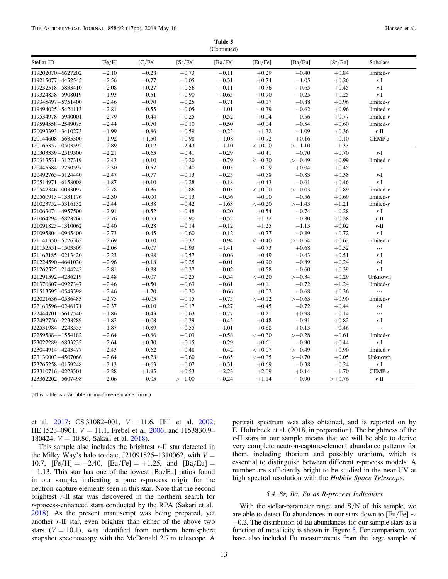Table 5 (Continued)

| Stellar ID        | [Fe/H]  | [C/Fe]    | [Sr/Fe]  | [Ba/Fe] | [Eu/Fe]      | [Ba/Eu]   | [Sr/Ba]  | Subclass               |  |
|-------------------|---------|-----------|----------|---------|--------------|-----------|----------|------------------------|--|
| J19202070-6627202 | $-2.10$ | $-0.28$   | $+0.73$  | $-0.11$ | $+0.29$      | $-0.40$   | $+0.84$  | $limited-r$            |  |
| J19215077-4452545 | $-2.56$ | $-0.77$   | $-0.05$  | $-0.31$ | $+0.74$      | $-1.05$   | $+0.26$  | $r-I$                  |  |
| J19232518-5833410 | $-2.08$ | $+0.27$   | $+0.56$  | $+0.11$ | $+0.76$      | $-0.65$   | $+0.45$  | $r-I$                  |  |
| J19324858-5908019 | $-1.93$ | $-0.51$   | $+0.90$  | $+0.65$ | $+0.90$      | $-0.25$   | $+0.25$  | $r-I$                  |  |
| J19345497-5751400 | $-2.46$ | $-0.70$   | $+0.25$  | $-0.71$ | $+0.17$      | $-0.88$   | $+0.96$  | $limited-r$            |  |
| J19494025-5424113 | $-2.81$ | $-0.55$   | $-0.05$  | $-1.01$ | $-0.39$      | $-0.62$   | $+0.96$  | limited- $r$           |  |
| J19534978-5940001 | $-2.79$ | $-0.44$   | $+0.25$  | $-0.52$ | $+0.04$      | $-0.56$   | $+0.77$  | limited- $r$           |  |
| J19594558-2549075 | $-2.44$ | $-0.70$   | $+0.10$  | $-0.50$ | $+0.04$      | $-0.54$   | $+0.60$  | limited- $r$           |  |
| J20093393-3410273 | $-1.99$ | $-0.86$   | $+0.59$  | $+0.23$ | $+1.32$      | $-1.09$   | $+0.36$  | $r\text{-}\mathrm{II}$ |  |
| J20144608-5635300 | $-1.92$ | $+1.50$   | $+0.98$  | $+1.08$ | $+0.92$      | $+0.16$   | $-0.10$  | $CEMP-s$               |  |
| J20165357-0503592 | $-2.89$ | $-0.12$   | $-2.43$  | $-1.10$ | $< +0.00$    | $> -1.10$ | $-1.33$  |                        |  |
| J20303339-2519500 | $-2.21$ | $-0.65$   | $+0.41$  | $-0.29$ | $+0.41$      | $-0.70$   | $+0.70$  | $r-I$                  |  |
| J20313531-3127319 | $-2.43$ | $+0.10$   | $+0.20$  | $-0.79$ | $<-0.30$     | $>-0.49$  | $+0.99$  | limited- $r$           |  |
| J20445584-2250597 | $-2.30$ | $-0.57$   | $+0.40$  | $-0.05$ | $-0.09$      | $+0.04$   | $+0.45$  | $\ldots$               |  |
| J20492765-5124440 | $-2.47$ | $-0.77$   | $+0.13$  | $-0.25$ | $+0.58$      | $-0.83$   | $+0.38$  | $r-I$                  |  |
| J20514971-6158008 | $-1.87$ | $+0.10$   | $+0.28$  | $-0.18$ | $+0.43$      | $-0.61$   | $+0.46$  | $r\text{-}\mathrm{I}$  |  |
| J20542346-0033097 | $-2.78$ | $-0.36$   | $+0.86$  | $-0.03$ | $< +0.00$    | $>-0.03$  | $+0.89$  | limited- $r$           |  |
| J20560913-1331176 | $-2.30$ | $+0.00\,$ | $+0.13$  | $-0.56$ | $+0.00$      | $-0.56$   | $+0.69$  | limited- $r$           |  |
| J21023752-5316132 | $-2.44$ | $-0.38$   | $-0.42$  | $-1.63$ | $< +0.20$    | $> -1.43$ | $+1.21$  | limited- $r$           |  |
| J21063474-4957500 | $-2.91$ | $+0.52$   | $-0.48$  | $-0.20$ | $+0.54$      | $-0.74$   | $-0.28$  | $r-I$                  |  |
| J21064294-6828266 | $-2.76$ | $+0.53$   | $+0.90$  | $+0.52$ | $+1.32$      | $-0.80$   | $+0.38$  | $r\text{-}\mathrm{II}$ |  |
| J21091825-1310062 | $-2.40$ | $-0.28$   | $+0.14$  | $+0.12$ | $+1.25$      | $-1.13$   | $+0.02$  | $r$ -II                |  |
| J21095804-0945400 | $-2.73$ | $-0.45$   | $+0.60$  | $-0.12$ | $+0.77$      | $-0.89$   | $+0.72$  | $r-I$                  |  |
| J21141350-5726363 | $-2.69$ | $-0.10$   | $-0.32$  | $-0.94$ | $<-0.40$     | $>-0.54$  | $+0.62$  | limited- $r$           |  |
| J21152551-1503309 | $-2.06$ | $-0.07$   | $+1.93$  | $+1.41$ | $+0.73$      | $+0.68$   | $+0.52$  | $\ldots$               |  |
| J21162185-0213420 | $-2.23$ | $-0.98$   | $+0.57$  | $+0.06$ | $+0.49$      | $-0.43$   | $+0.51$  | $r-I$                  |  |
| J21224590-4641030 | $-2.96$ | $-0.18$   | $+0.25$  | $+0.01$ | $+0.90$      | $-0.89$   | $+0.24$  | $r-I$                  |  |
| J21262525-2144243 | $-2.81$ | $-0.88$   | $+0.37$  | $-0.02$ | $+0.58$      | $-0.60$   | $+0.39$  | $r-I$                  |  |
| J21291592-4236219 | $-2.48$ | $-0.07$   | $-0.25$  | $-0.54$ | $\!<\!-0.20$ | $>-0.34$  | $+0.29$  | Unknown                |  |
| J21370807-0927347 | $-2.46$ | $-0.50$   | $+0.63$  | $-0.61$ | $+0.11$      | $-0.72$   | $+1.24$  | $limited-r$            |  |
| J21513595-0543398 | $-2.46$ | $-1.20$   | $-0.30$  | $-0.66$ | $+0.02$      | $-0.68$   | $+0.36$  | $\ldots$               |  |
| J22021636-0536483 | $-2.75$ | $+0.05$   | $+0.15$  | $-0.75$ | $<-0.12$     | $>-0.63$  | $+0.90$  | $limited-r$            |  |
| J22163596+0246171 | $-2.37$ | $-0.10$   | $+0.17$  | $-0.27$ | $+0.45$      | $-0.72$   | $+0.44$  | r-I                    |  |
| J22444701-5617540 | $-1.86$ | $-0.43$   | $+0.63$  | $+0.77$ | $-0.21$      | $+0.98$   | $-0.14$  | $\ldots$               |  |
| J22492756-2238289 | $-1.82$ | $-0.08$   | $+0.39$  | $-0.43$ | $+0.48$      | $-0.91$   | $+0.82$  | r-I                    |  |
| J22531984-2248555 | $-1.87$ | $+0.89$   | $+0.55$  | $+1.01$ | $+0.88$      | $+0.13$   | $-0.46$  | $\ldots$               |  |
| J22595884-1554182 | $-2.64$ | $-0.86$   | $+0.03$  | $-0.58$ | $<-0.30$     | $>-0.28$  | $+0.61$  | $limited-r$            |  |
| J23022289-6833233 | $-2.64$ | $+0.30$   | $+0.15$  | $-0.29$ | $+0.61$      | $-0.90$   | $+0.44$  | $r-I$                  |  |
| J23044914-4243477 | $-2.43$ | $-0.62$   | $+0.48$  | $-0.42$ | $< +0.07$    | $>-0.49$  | $+0.90$  | $limited-r$            |  |
| J23130003-4507066 | $-2.64$ | $+0.28$   | $-0.60$  | $-0.65$ | $< +0.05$    | $>-0.70$  | $+0.05$  | Unknown                |  |
| J23265258-0159248 | $-3.13$ | $-0.63$   | $+0.07$  | $+0.31$ | $+0.69$      | $-0.38$   | $-0.24$  | $r\mbox{-}\mathrm I$   |  |
| J23310716-0223301 | $-2.28$ | $+1.95$   | $+0.53$  | $+2.23$ | $+2.09$      | $+0.14$   | $-1.70$  | $CEMP-s$               |  |
| J23362202-5607498 | $-2.06$ | $-0.05$   | $>+1.00$ | $+0.24$ | $+1.14$      | $-0.90$   | $>+0.76$ | r-II                   |  |

(This table is available in machine-readable form.)

et al. [2017](#page-17-0); CS 31082-001,  $V = 11.6$ , Hill et al. [2002](#page-17-0); HE 1523–0901,  $V = 11.1$ , Frebel et al. [2006](#page-17-0); and J153830.9– 180424,  $V = 10.86$ , Sakari et al. [2018](#page-17-0)).

This sample also includes the brightest  $r$ -II star detected in the Milky Way's halo to date, J21091825–1310062, with  $V =$ 10.7,  $[Fe/H] = -2.40$ ,  $[Eu/Fe] = +1.25$ , and  $[Ba/Eu] =$ −1.13. This star has one of the lowest [Ba/Eu] ratios found in our sample, indicating a pure r-process origin for the neutron-capture elements seen in this star. Note that the second brightest r-II star was discovered in the northern search for r-process-enhanced stars conducted by the RPA (Sakari et al. [2018](#page-17-0)). As the present manuscript was being prepared, yet another r-II star, even brighter than either of the above two stars  $(V = 10.1)$ , was identified from northern hemisphere snapshot spectroscopy with the McDonald 2.7 m telescope. A

portrait spectrum was also obtained, and is reported on by E. Holmbeck et al. (2018, in preparation). The brightness of the r-II stars in our sample means that we will be able to derive very complete neutron-capture-element abundance patterns for them, including thorium and possibly uranium, which is essential to distinguish between different r-process models. A number are sufficiently bright to be studied in the near-UV at high spectral resolution with the Hubble Space Telescope.

#### 5.4. Sr, Ba, Eu as R-process Indicators

With the stellar-parameter range and  $S/N$  of this sample, we are able to detect Eu abundances in our stars down to [Eu/Fe] ∼ −0.2. The distribution of Eu abundances for our sample stars as a function of metallicity is shown in Figure [5](#page-15-0). For comparison, we have also included Eu measurements from the large sample of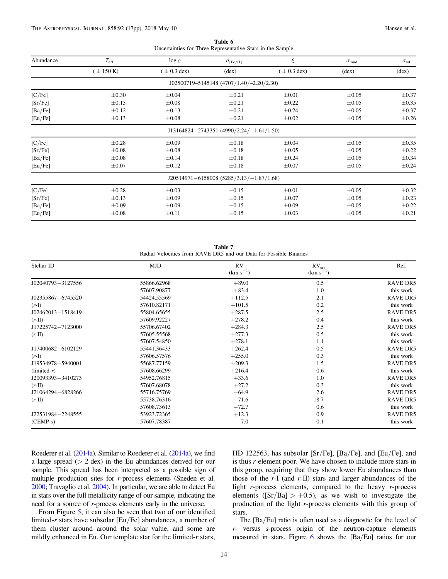| Table 6 |  |  |                                                            |  |  |  |  |
|---------|--|--|------------------------------------------------------------|--|--|--|--|
|         |  |  | Uncertainties for Three Representative Stars in the Sample |  |  |  |  |

<span id="page-14-0"></span>

| Abundance | $T_{\rm eff}$ | $\log g$        | $\sigma_{\rm [Fe/H]}$                          | ξ              | $\sigma$ <sub>rand</sub> | $\sigma_{\rm tot}$ |
|-----------|---------------|-----------------|------------------------------------------------|----------------|--------------------------|--------------------|
|           | $\pm$ 150 K)  | $(\pm 0.3$ dex) | $(\text{dex})$                                 | $\pm$ 0.3 dex) | $(\text{dex})$           | $(\text{dex})$     |
|           |               |                 | $J02500719 - 5145148 (4707/1.40/-2.20/2.30)$   |                |                          |                    |
| [C/Fe]    | $\pm 0.30$    | $\pm 0.04$      | $\pm 0.21$                                     | $\pm 0.01$     | $\pm 0.05$               | $\pm 0.37$         |
| [Sr/Fe]   | $\pm 0.15$    | $\pm 0.08$      | $\pm 0.21$                                     | $\pm 0.22$     | $\pm 0.05$               | $\pm 0.35$         |
| [Ba/Fe]   | $\pm 0.12$    | $\pm 0.13$      | $\pm 0.21$                                     | $\pm 0.24$     | $\pm 0.05$               | $\pm 0.37$         |
| [Eu/Fe]   | $\pm 0.13$    | $\pm 0.08$      | $\pm 0.21$                                     | $\pm 0.02$     | $\pm 0.05$               | $\pm 0.26$         |
|           |               |                 | J13164824-2743351 (4990/2.24/-1.61/1.50)       |                |                          |                    |
| [C/Fe]    | $\pm 0.28$    | $\pm 0.09$      | $\pm 0.18$                                     | $\pm 0.04$     | $\pm 0.05$               | $\pm 0.35$         |
| [Sr/Fe]   | $\pm 0.08$    | $\pm 0.08$      | $\pm 0.18$                                     | $\pm 0.05$     | $\pm 0.05$               | $\pm 0.22$         |
| [Ba/Fe]   | $\pm 0.08$    | $\pm 0.14$      | $\pm 0.18$                                     | $\pm 0.24$     | $\pm 0.05$               | $\pm 0.34$         |
| [Eu/Fe]   | $\pm 0.07$    | $\pm 0.12$      | $\pm 0.18$                                     | $\pm 0.07$     | $\pm 0.05$               | $\pm 0.24$         |
|           |               |                 | $J20514971 - 6158008$ $(5285/3.13/-1.87/1.68)$ |                |                          |                    |
| [C/Fe]    | $\pm 0.28$    | $\pm 0.03$      | $\pm 0.15$                                     | $\pm 0.01$     | $\pm 0.05$               | $\pm 0.32$         |
| [Sr/Fe]   | $\pm 0.13$    | $\pm 0.09$      | $\pm 0.15$                                     | $\pm 0.07$     | $\pm 0.05$               | $\pm 0.23$         |
| [Ba/Fe]   | $\pm 0.09$    | $\pm 0.09$      | $\pm 0.15$                                     | $\pm 0.09$     | $\pm 0.05$               | $\pm 0.22$         |
| [Eu/Fe]   | $\pm 0.08$    | $\pm 0.11$      | $\pm 0.15$                                     | $\pm 0.03$     | $\pm 0.05$               | $\pm 0.21$         |

Table 7 Radial Velocities from RAVE DR5 and our Data for Possible Binaries

| Stellar ID        | <b>MJD</b>  | <b>RV</b><br>$(km s^{-1})$ | $RV_{err}$<br>$(km s^{-1})$ | Ref.            |
|-------------------|-------------|----------------------------|-----------------------------|-----------------|
| J02040793-3127556 | 55866.62968 | $+89.0$                    | 0.5                         | <b>RAVE DR5</b> |
|                   | 57607.90877 | $+83.4$                    | 1.0                         | this work       |
| J02355867-6745520 | 54424.55569 | $+112.5$                   | 2.1                         | <b>RAVE DR5</b> |
| $(r-I)$           | 57610.82171 | $+101.5$                   | 0.2                         | this work       |
| J02462013-1518419 | 55804.65655 | $+287.5$                   | 2.5                         | <b>RAVE DR5</b> |
| $(r-II)$          | 57609.92227 | $+278.2$                   | 0.4                         | this work       |
| J17225742-7123000 | 55706.67402 | $+284.3$                   | 2.5                         | <b>RAVE DR5</b> |
| $(r-II)$          | 57605.55568 | $+277.3$                   | 0.5                         | this work       |
|                   | 57607.54850 | $+278.1$                   | 1.1                         | this work       |
| J17400682-6102129 | 55441.36433 | $+262.4$                   | 0.5                         | <b>RAVE DR5</b> |
| $(r-I)$           | 57606.57576 | $+255.0$                   | 0.3                         | this work       |
| J19534978-5940001 | 55687.77159 | $+209.3$                   | 1.5                         | <b>RAVE DR5</b> |
| $(limited-r)$     | 57608.66299 | $+216.4$                   | 0.6                         | this work       |
| J20093393-3410273 | 54952.76815 | $+33.6$                    | 1.0                         | <b>RAVE DR5</b> |
| $(r-II)$          | 57607.68078 | $+27.2$                    | 0.3                         | this work       |
| J21064294-6828266 | 55716.75769 | $-64.9$                    | 2.6                         | <b>RAVE DR5</b> |
| $(r-II)$          | 55738.76316 | $-71.6$                    | 18.7                        | <b>RAVE DR5</b> |
|                   | 57608.73613 | $-72.7$                    | 0.6                         | this work       |
| J22531984-2248555 | 53923.72365 | $+12.3$                    | 0.9                         | <b>RAVE DR5</b> |
| $(CEMP-s)$        | 57607.78387 | $-7.0$                     | 0.1                         | this work       |

Roederer et al. ([2014a](#page-17-0)). Similar to Roederer et al. ([2014a](#page-17-0)), we find a large spread (> 2 dex) in the Eu abundances derived for our sample. This spread has been interpreted as a possible sign of multiple production sites for r-process elements (Sneden et al. [2000](#page-17-0); Travaglio et al. [2004](#page-17-0)). In particular, we are able to detect Eu in stars over the full metallicity range of our sample, indicating the need for a source of r-process elements early in the universe.

From Figure [5](#page-15-0), it can also be seen that two of our identified limited-r stars have subsolar [Eu/Fe] abundances, a number of them cluster around around the solar value, and some are mildly enhanced in Eu. Our template star for the limited-r stars,

HD 122563, has subsolar [Sr/Fe], [Ba/Fe], and [Eu/Fe], and is thus r-element poor. We have chosen to include more stars in this group, requiring that they show lower Eu abundances than those of the  $r$ -I (and  $r$ -II) stars and larger abundances of the light r-process elements, compared to the heavy r-process elements ( $[Sr/Ba] > +0.5$ ), as we wish to investigate the production of the light r-process elements with this group of stars.

The [Ba/Eu] ratio is often used as a diagnostic for the level of r- versus s-process origin of the neutron-capture elements measured in stars. Figure [6](#page-15-0) shows the [Ba/Eu] ratios for our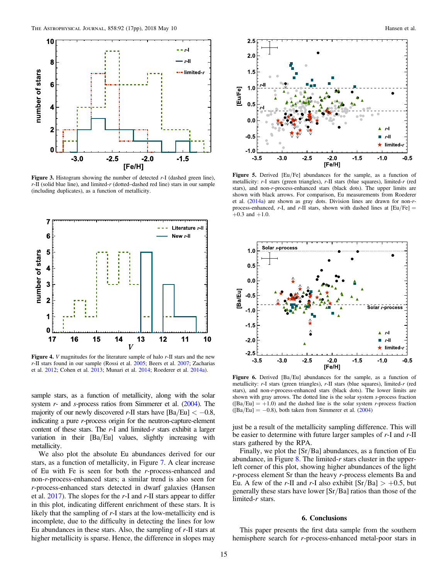<span id="page-15-0"></span>

Figure 3. Histogram showing the number of detected r-I (dashed green line),  $r$ -II (solid blue line), and limited- $r$  (dotted–dashed red line) stars in our sample (including duplicates), as a function of metallicity.



Figure 4. *V* magnitudes for the literature sample of halo *r*-II stars and the new r-II stars found in our sample (Rossi et al. [2005;](#page-17-0) Beers et al. [2007;](#page-16-0) Zacharias et al. [2012](#page-17-0); Cohen et al. [2013](#page-16-0); Munari et al. [2014;](#page-17-0) Roederer et al. [2014a](#page-17-0)).

sample stars, as a function of metallicity, along with the solar system  $r$ - and  $s$ -process ratios from Simmerer et al.  $(2004)$  $(2004)$  $(2004)$ . The majority of our newly discovered r-II stars have  $[\text{Ba/Eu}] < -0.8$ , indicating a pure r-process origin for the neutron-capture-element content of these stars. The  $r-1$  and limited- $r$  stars exhibit a larger variation in their [Ba/Eu] values, slightly increasing with metallicity.

We also plot the absolute Eu abundances derived for our stars, as a function of metallicity, in Figure [7](#page-16-0). A clear increase of Eu with Fe is seen for both the r-process-enhanced and non-r-process-enhanced stars; a similar trend is also seen for r-process-enhanced stars detected in dwarf galaxies (Hansen et al.  $2017$ ). The slopes for the r-I and r-II stars appear to differ in this plot, indicating different enrichment of these stars. It is likely that the sampling of r-I stars at the low-metallicity end is incomplete, due to the difficulty in detecting the lines for low Eu abundances in these stars. Also, the sampling of r-II stars at higher metallicity is sparse. Hence, the difference in slopes may



Figure 5. Derived [Eu/Fe] abundances for the sample, as a function of metallicity: r-I stars (green triangles), r-II stars (blue squares), limited-r (red stars), and non-r-process-enhanced stars (black dots). The upper limits are shown with black arrows. For comparison, Eu measurements from Roederer et al. ([2014a](#page-17-0)) are shown as gray dots. Division lines are drawn for non-rprocess-enhanced, r-I, and r-II stars, shown with dashed lines at  $[Eu/Fe] =$  $+0.3$  and  $+1.0$ .



Figure 6. Derived [Ba/Eu] abundances for the sample, as a function of metallicity: r-I stars (green triangles), r-II stars (blue squares), limited-r (red stars), and non-r-process-enhanced stars (black dots). The lower limits are shown with gray arrows. The dotted line is the solar system s-process fraction  $([Ba/Eu] = +1.0)$  and the dashed line is the solar system *r*-process fraction  $([Ba/Eu] = -0.8)$ , both taken from Simmerer et al.  $(2004)$  $(2004)$  $(2004)$ 

just be a result of the metallicity sampling difference. This will be easier to determine with future larger samples of  $r$ -I and  $r$ -II stars gathered by the RPA.

Finally, we plot the [Sr/Ba] abundances, as a function of Eu abundance, in Figure  $8$ . The limited-r stars cluster in the upperleft corner of this plot, showing higher abundances of the light r-process element Sr than the heavy r-process elements Ba and Eu. A few of the r-II and r-I also exhibit  $[Sr/Ba] > +0.5$ , but generally these stars have lower [Sr/Ba] ratios than those of the limited-r stars.

#### 6. Conclusions

This paper presents the first data sample from the southern hemisphere search for r-process-enhanced metal-poor stars in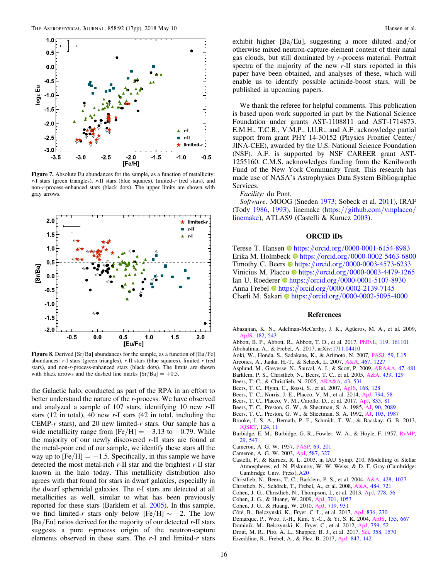<span id="page-16-0"></span>

Figure 7. Absolute Eu abundances for the sample, as a function of metallicity:  $r$ -I stars (green triangles),  $r$ -II stars (blue squares), limited- $r$  (red stars), and non-r-process-enhanced stars (black dots). The upper limits are shown with gray arrows.



Figure 8. Derived [Sr/Ba] abundances for the sample, as a function of [Eu/Fe] abundances: r-I stars (green triangles), r-II stars (blue squares), limited-r (red stars), and non-r-process-enhanced stars (black dots). The limits are shown with black arrows and the dashed line marks  $[Sr/Ba] = +0.5$ .

the Galactic halo, conducted as part of the RPA in an effort to better understand the nature of the r-process. We have observed and analyzed a sample of 107 stars, identifying 10 new r-II stars (12 in total), 40 new r-I stars (42 in total, including the CEMP-r stars), and 20 new limited-r stars. Our sample has a wide metallicity range from  $[Fe/H] = -3.13$  to  $-0.79$ . While the majority of our newly discovered  $r$ -II stars are found at the metal-poor end of our sample, we identify these stars all the way up to  $[Fe/H] = -1.5$ . Specifically, in this sample we have detected the most metal-rich  $r$ -II star and the brightest  $r$ -II star known in the halo today. This metallicity distribution also agrees with that found for stars in dwarf galaxies, especially in the dwarf spheroidal galaxies. The r-I stars are detected at all metallicities as well, similar to what has been previously reported for these stars (Barklem et al. 2005). In this sample, we find limited-r stars only below [Fe/H]  $\sim -2$ . The low  $[Ba/Eu]$  ratios derived for the majority of our detected r-II stars suggests a pure r-process origin of the neutron-capture elements observed in these stars. The  $r-1$  and limited- $r$  stars

exhibit higher [Ba/Eu], suggesting a more diluted and/or otherwise mixed neutron-capture-element content of their natal gas clouds, but still dominated by r-process material. Portrait spectra of the majority of the new  $r$ -II stars reported in this paper have been obtained, and analyses of these, which will enable us to identify possible actinide-boost stars, will be published in upcoming papers.

We thank the referee for helpful comments. This publication is based upon work supported in part by the National Science Foundation under grants AST-1108811 and AST-1714873. E.M.H., T.C.B., V.M.P., I.U.R., and A.F. acknowledge partial support from grant PHY 14-30152 (Physics Frontier Center/ JINA-CEE), awarded by the U.S. National Science Foundation (NSF). A.F. is supported by NSF CAREER grant AST-1255160. C.M.S. acknowledges funding from the Kenilworth Fund of the New York Community Trust. This research has made use of NASA's Astrophysics Data System Bibliographic Services.

#### Facility: du Pont.

Software: MOOG (Sneden [1973;](#page-17-0) Sobeck et al. [2011](#page-17-0)), IRAF (Tody [1986,](#page-17-0) [1993](#page-17-0)), linemake (https://[github.com](https://github.com/vmplacco/linemake)/vmplacco/ [linemake](https://github.com/vmplacco/linemake)), ATLAS9 (Castelli & Kurucz 2003).

#### ORCID iDs

Terese T. Hansen the [https:](https://orcid.org/0000-0001-6154-8983)//orcid.org/[0000-0001-6154-8983](https://orcid.org/0000-0001-6154-8983) Eri[k](https://orcid.org/0000-0002-5463-6800)a M. Holmbeck  $\bullet$  [https:](https://orcid.org/0000-0002-5463-6800)//orcid.org/[0000-0002-5463-6800](https://orcid.org/0000-0002-5463-6800) Timothy C. Beer[s](https://orcid.org/0000-0003-4573-6233)  $\bullet$  [https:](https://orcid.org/0000-0003-4573-6233)//orcid.org/[0000-0003-4573-6233](https://orcid.org/0000-0003-4573-6233) Vinicius M. Placco inttps://orcid.org/[0000-0003-4479-1265](https://orcid.org/0000-0003-4479-1265) Ian U. Roederer in [https:](https://orcid.org/0000-0001-5107-8930)//orcid.org/[0000-0001-5107-8930](https://orcid.org/0000-0001-5107-8930) Anna Frebel C[https:](https://orcid.org/0000-0002-2139-7145)//orcid.org/[0000-0002-2139-7145](https://orcid.org/0000-0002-2139-7145) Charli M. Sakari <sup>to</sup> [https:](https://orcid.org/0000-0002-5095-4000)//orcid.org/[0000-0002-5095-4000](https://orcid.org/0000-0002-5095-4000)

#### References

- Abazajian, K. N., Adelman-McCarthy, J. K., Agüeros, M. A., et al. 2009, [ApJS](https://doi.org/10.1088/0067-0049/182/2/543), [182, 543](http://adsabs.harvard.edu/abs/2009ApJS..182..543A)
- Abbott, B. P., Abbott, R., Abbott, T. D., et al. 2017, [PhRvL](https://doi.org/10.1103/PhysRevLett.119.161101), [119, 161101](http://adsabs.harvard.edu/abs/2017PhRvL.119p1101A)
- Abohalima, A., & Frebel, A. 2017, arXiv:[1711.04410](http://arxiv.org/abs/1711.04410)
- Aoki, W., Honda, S., Sadakane, K., & Arimoto, N. 2007, [PASJ](https://doi.org/10.1093/pasj/59.3.L15), [59, L15](http://adsabs.harvard.edu/abs/2007PASJ...59L..15A)
- Arcones, A., Janka, H.-T., & Scheck, L. 2007, [A&A,](https://doi.org/10.1051/0004-6361:20066983) [467, 1227](http://adsabs.harvard.edu/abs/2007A&A...467.1227A)
- Asplund, M., Grevesse, N., Sauval, A. J., & Scott, P. 2009, [ARA&A](https://doi.org/10.1146/annurev.astro.46.060407.145222), [47, 481](http://adsabs.harvard.edu/abs/2009ARA&A..47..481A)
- Barklem, P. S., Christlieb, N., Beers, T. C., et al. 2005, [A&A,](https://doi.org/10.1051/0004-6361:20052967) [439, 129](http://adsabs.harvard.edu/abs/2005A&A...439..129B)
- Beers, T. C., & Christlieb, N. 2005, [ARA&A](https://doi.org/10.1146/annurev.astro.42.053102.134057), [43, 531](http://adsabs.harvard.edu/abs/2005ARA&A..43..531B)
- Beers, T. C., Flynn, C., Rossi, S., et al. 2007, [ApJS,](https://doi.org/10.1086/509324) [168, 128](http://adsabs.harvard.edu/abs/2007ApJS..168..128B)
- Beers, T. C., Norris, J. E., Placco, V. M., et al. 2014, [ApJ,](https://doi.org/10.1088/0004-637X/794/1/58) [794, 58](http://adsabs.harvard.edu/abs/2014ApJ...794...58B)
- Beers, T. C., Placco, V. M., Carollo, D., et al. 2017, [ApJ](https://doi.org/10.3847/1538-4357/835/1/81), [835, 81](http://adsabs.harvard.edu/abs/2017ApJ...835...81B) Beers, T. C., Preston, G. W., & Shectman, S. A. 1985, [AJ](https://doi.org/10.1086/113917), [90, 2089](http://adsabs.harvard.edu/abs/1985AJ.....90.2089B)
- Beers, T. C., Preston, G. W., & Shectman, S. A. 1992, [AJ](https://doi.org/10.1086/116207), [103, 1987](http://adsabs.harvard.edu/abs/1992AJ....103.1987B)
- Brooke, J. S. A., Bernath, P. F., Schmidt, T. W., & Bacskay, G. B. 2013,
- [JQSRT](https://doi.org/10.1016/j.jqsrt.2013.02.025), [124, 11](http://adsabs.harvard.edu/abs/2013JQSRT.124...11B)
- Burbidge, E. M., Burbidge, G. R., Fowler, W. A., & Hoyle, F. 1957, [RvMP](https://doi.org/10.1103/RevModPhys.29.547)[,](http://adsabs.harvard.edu/abs/1957RvMP...29..547B) [29, 547](http://adsabs.harvard.edu/abs/1957RvMP...29..547B)
- Cameron, A. G. W. 1957, [PASP,](https://doi.org/10.1086/127051) [69, 201](http://adsabs.harvard.edu/abs/1957PASP...69..201C)
- Cameron, A. G. W. 2003, [ApJ,](https://doi.org/10.1086/368110) [587, 327](http://adsabs.harvard.edu/abs/2003ApJ...587..327C)
- Castelli, F., & Kurucz, R. L. 2003, in IAU Symp. 210, Modelling of Stellar Atmospheres, ed. N. Piskunov, W. W. Weiss, & D. F. Gray (Cambridge: Cambridge Univ. Press), [A20](http://adsabs.harvard.edu/abs/2003IAUS..210P.A20C)
- Christlieb, N., Beers, T. C., Barklem, P. S., et al. 2004, [A&A,](https://doi.org/10.1051/0004-6361:20041536) [428, 1027](http://adsabs.harvard.edu/abs/2004A&A...428.1027C)
- Christlieb, N., Schörck, T., Frebel, A., et al. 2008, [A&A,](https://doi.org/10.1051/0004-6361:20078748) [484, 721](http://adsabs.harvard.edu/abs/2008A&A...484..721C)
- Cohen, J. G., Christlieb, N., Thompson, I., et al. 2013, [ApJ](https://doi.org/10.1088/0004-637X/778/1/56), [778, 56](http://adsabs.harvard.edu/abs/2013ApJ...778...56C)
- Cohen, J. G., & Huang, W. 2009, [ApJ,](https://doi.org/10.1088/0004-637X/701/2/1053) [701, 1053](http://adsabs.harvard.edu/abs/2009ApJ...701.1053C)
- Cohen, J. G., & Huang, W. 2010, [ApJ,](https://doi.org/10.1088/0004-637X/719/1/931) [719, 931](http://adsabs.harvard.edu/abs/2010ApJ...719..931C)
- Côté, B., Belczynski, K., Fryer, C. L., et al. 2017, [ApJ,](https://doi.org/10.3847/1538-4357/aa5c8d) [836, 230](http://adsabs.harvard.edu/abs/2017ApJ...836..230C)
- Demarque, P., Woo, J.-H., Kim, Y.-C., & Yi, S. K. 2004, [ApJS](https://doi.org/10.1086/424966), [155, 667](http://adsabs.harvard.edu/abs/2004ApJS..155..667D)
- Dominik, M., Belczynski, K., Fryer, C., et al. 2012, [ApJ](https://doi.org/10.1088/0004-637X/759/1/52), [759, 52](http://adsabs.harvard.edu/abs/2012ApJ...759...52D)
- Drout, M. R., Piro, A. L., Shappee, B. J., et al. 2017, [Sci,](https://doi.org/10.1126/science.aaq0049) [358, 1570](http://adsabs.harvard.edu/abs/2017Sci...358.1570D)
- Ezzeddine, R., Frebel, A., & Plez, B. 2017, [ApJ,](https://doi.org/10.3847/1538-4357/aa8875) [847, 142](http://adsabs.harvard.edu/abs/2017ApJ...847..142E)